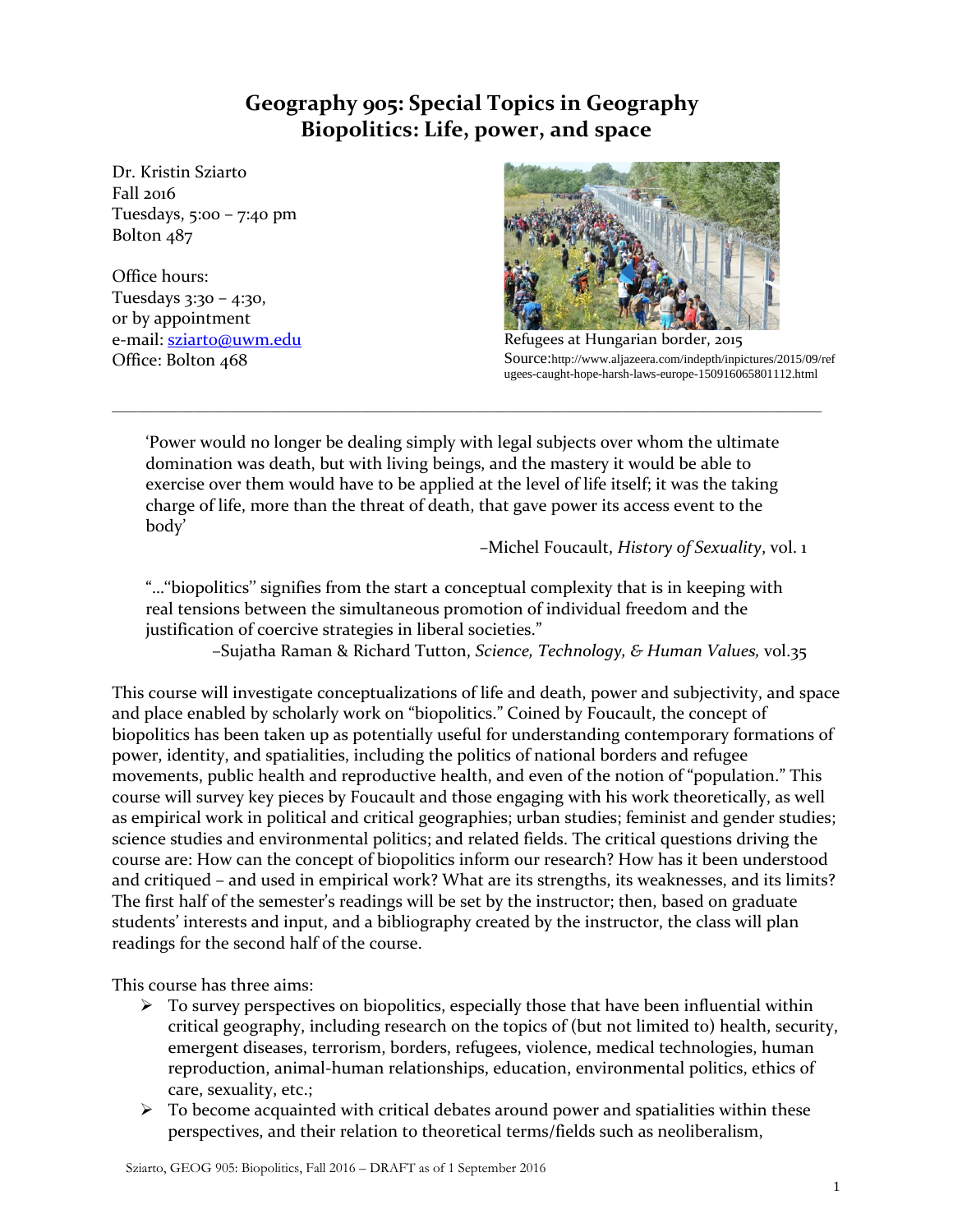# **Geography 905: Special Topics in Geography Biopolitics: Life, power, and space**

Dr. Kristin Sziarto Fall 2016 Tuesdays, 5:00 – 7:40 pm Bolton 487

Office hours: Tuesdays 3:30 – 4:30, or by appointment e-mail: [sziarto@uwm.edu](mailto:sziarto@uwm.edu) Office: Bolton 468



Refugees at Hungarian border, 2015 Source:http://www.aljazeera.com/indepth/inpictures/2015/09/ref ugees-caught-hope-harsh-laws-europe-150916065801112.html

'Power would no longer be dealing simply with legal subjects over whom the ultimate domination was death, but with living beings, and the mastery it would be able to exercise over them would have to be applied at the level of life itself; it was the taking charge of life, more than the threat of death, that gave power its access event to the body'

\_\_\_\_\_\_\_\_\_\_\_\_\_\_\_\_\_\_\_\_\_\_\_\_\_\_\_\_\_\_\_\_\_\_\_\_\_\_\_\_\_\_\_\_\_\_\_\_\_\_\_\_\_\_\_\_\_\_\_\_\_\_\_\_\_\_\_\_\_\_\_\_\_\_\_\_\_\_\_\_\_\_\_\_\_\_\_\_\_\_\_\_\_\_\_\_\_\_\_\_\_\_\_\_\_\_\_\_\_\_\_\_\_\_

–Michel Foucault, *History of Sexuality*, vol. 1

"…''biopolitics'' signifies from the start a conceptual complexity that is in keeping with real tensions between the simultaneous promotion of individual freedom and the justification of coercive strategies in liberal societies."

–Sujatha Raman & Richard Tutton, *Science, Technology, & Human Values,* vol.35

This course will investigate conceptualizations of life and death, power and subjectivity, and space and place enabled by scholarly work on "biopolitics." Coined by Foucault, the concept of biopolitics has been taken up as potentially useful for understanding contemporary formations of power, identity, and spatialities, including the politics of national borders and refugee movements, public health and reproductive health, and even of the notion of "population." This course will survey key pieces by Foucault and those engaging with his work theoretically, as well as empirical work in political and critical geographies; urban studies; feminist and gender studies; science studies and environmental politics; and related fields. The critical questions driving the course are: How can the concept of biopolitics inform our research? How has it been understood and critiqued – and used in empirical work? What are its strengths, its weaknesses, and its limits? The first half of the semester's readings will be set by the instructor; then, based on graduate students' interests and input, and a bibliography created by the instructor, the class will plan readings for the second half of the course.

This course has three aims:

- $\triangleright$  To survey perspectives on biopolitics, especially those that have been influential within critical geography, including research on the topics of (but not limited to) health, security, emergent diseases, terrorism, borders, refugees, violence, medical technologies, human reproduction, animal-human relationships, education, environmental politics, ethics of care, sexuality, etc.;
- $\triangleright$  To become acquainted with critical debates around power and spatialities within these perspectives, and their relation to theoretical terms/fields such as neoliberalism,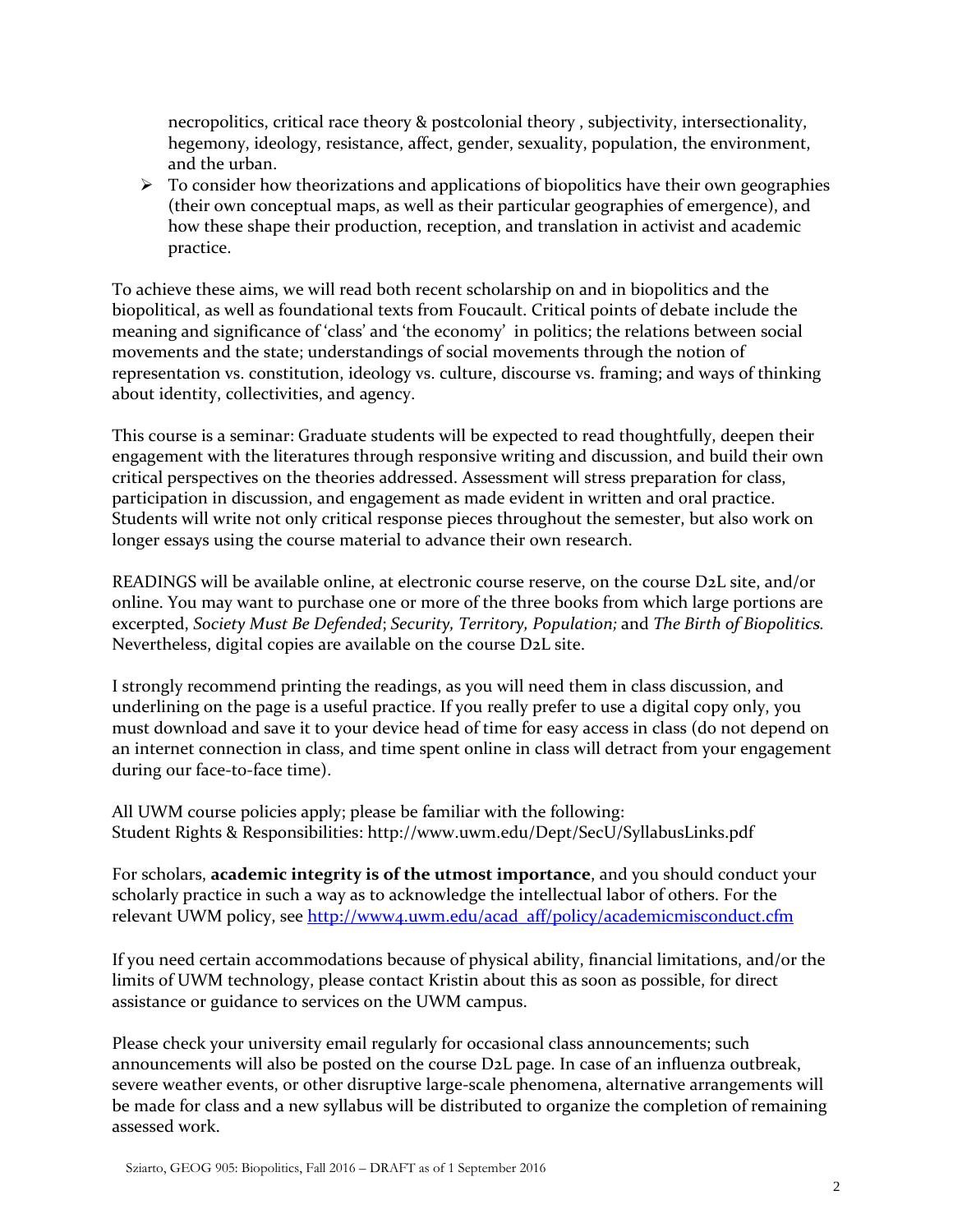necropolitics, critical race theory & postcolonial theory , subjectivity, intersectionality, hegemony, ideology, resistance, affect, gender, sexuality, population, the environment, and the urban.

 $\triangleright$  To consider how theorizations and applications of biopolitics have their own geographies (their own conceptual maps, as well as their particular geographies of emergence), and how these shape their production, reception, and translation in activist and academic practice.

To achieve these aims, we will read both recent scholarship on and in biopolitics and the biopolitical, as well as foundational texts from Foucault. Critical points of debate include the meaning and significance of 'class' and 'the economy' in politics; the relations between social movements and the state; understandings of social movements through the notion of representation vs. constitution, ideology vs. culture, discourse vs. framing; and ways of thinking about identity, collectivities, and agency.

This course is a seminar: Graduate students will be expected to read thoughtfully, deepen their engagement with the literatures through responsive writing and discussion, and build their own critical perspectives on the theories addressed. Assessment will stress preparation for class, participation in discussion, and engagement as made evident in written and oral practice. Students will write not only critical response pieces throughout the semester, but also work on longer essays using the course material to advance their own research.

READINGS will be available online, at electronic course reserve, on the course D2L site, and/or online. You may want to purchase one or more of the three books from which large portions are excerpted, *Society Must Be Defended*; *Security, Territory, Population;* and *The Birth of Biopolitics.*  Nevertheless, digital copies are available on the course D2L site.

I strongly recommend printing the readings, as you will need them in class discussion, and underlining on the page is a useful practice. If you really prefer to use a digital copy only, you must download and save it to your device head of time for easy access in class (do not depend on an internet connection in class, and time spent online in class will detract from your engagement during our face-to-face time).

All UWM course policies apply; please be familiar with the following: Student Rights & Responsibilities:<http://www.uwm.edu/Dept/SecU/SyllabusLinks.pdf>

For scholars, **academic integrity is of the utmost importance**, and you should conduct your scholarly practice in such a way as to acknowledge the intellectual labor of others. For the relevant UWM policy, see [http://www4.uwm.edu/acad\\_aff/policy/academicmisconduct.cfm](http://www4.uwm.edu/acad_aff/policy/academicmisconduct.cfm)

If you need certain accommodations because of physical ability, financial limitations, and/or the limits of UWM technology, please contact Kristin about this as soon as possible, for direct assistance or guidance to services on the UWM campus.

Please check your university email regularly for occasional class announcements; such announcements will also be posted on the course D2L page. In case of an influenza outbreak, severe weather events, or other disruptive large-scale phenomena, alternative arrangements will be made for class and a new syllabus will be distributed to organize the completion of remaining assessed work.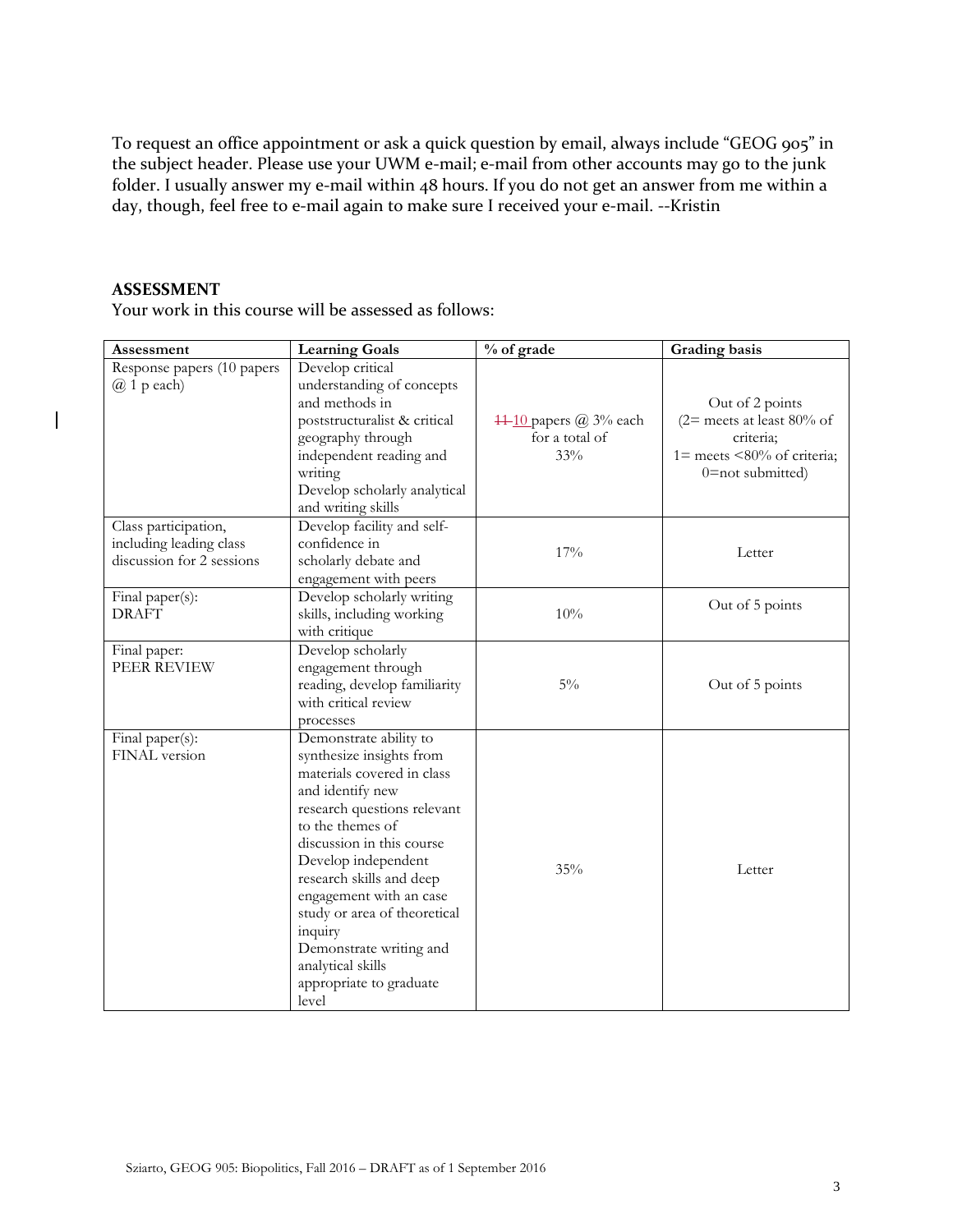To request an office appointment or ask a quick question by email, always include "GEOG 905" in the subject header. Please use your UWM e-mail; e-mail from other accounts may go to the junk folder. I usually answer my e-mail within 48 hours. If you do not get an answer from me within a day, though, feel free to e-mail again to make sure I received your e-mail. --Kristin

# **ASSESSMENT**

 $\overline{\phantom{a}}$ 

Your work in this course will be assessed as follows:

| Assessment                                                                   | <b>Learning Goals</b>                                                                                                                                                                                                                                                                                                                                                                             | % of grade                                      | Grading basis                                                                                                   |
|------------------------------------------------------------------------------|---------------------------------------------------------------------------------------------------------------------------------------------------------------------------------------------------------------------------------------------------------------------------------------------------------------------------------------------------------------------------------------------------|-------------------------------------------------|-----------------------------------------------------------------------------------------------------------------|
| Response papers (10 papers<br>$(a)$ 1 p each)                                | Develop critical<br>understanding of concepts<br>and methods in<br>poststructuralist & critical<br>geography through<br>independent reading and<br>writing<br>Develop scholarly analytical<br>and writing skills                                                                                                                                                                                  | 44-10 papers @ 3% each<br>for a total of<br>33% | Out of 2 points<br>(2= meets at least 80% of<br>criteria;<br>1= meets <80% of criteria;<br>$0 = not submitted)$ |
| Class participation,<br>including leading class<br>discussion for 2 sessions | Develop facility and self-<br>confidence in<br>scholarly debate and<br>engagement with peers                                                                                                                                                                                                                                                                                                      | 17%                                             | Letter                                                                                                          |
| Final paper(s):<br><b>DRAFT</b>                                              | Develop scholarly writing<br>skills, including working<br>with critique                                                                                                                                                                                                                                                                                                                           | 10%                                             | Out of 5 points                                                                                                 |
| Final paper:<br>PEER REVIEW                                                  | Develop scholarly<br>engagement through<br>reading, develop familiarity<br>with critical review<br>processes                                                                                                                                                                                                                                                                                      | $5\%$                                           | Out of 5 points                                                                                                 |
| Final paper(s):<br>FINAL version                                             | Demonstrate ability to<br>synthesize insights from<br>materials covered in class<br>and identify new<br>research questions relevant<br>to the themes of<br>discussion in this course<br>Develop independent<br>research skills and deep<br>engagement with an case<br>study or area of theoretical<br>inquiry<br>Demonstrate writing and<br>analytical skills<br>appropriate to graduate<br>level | 35%                                             | Letter                                                                                                          |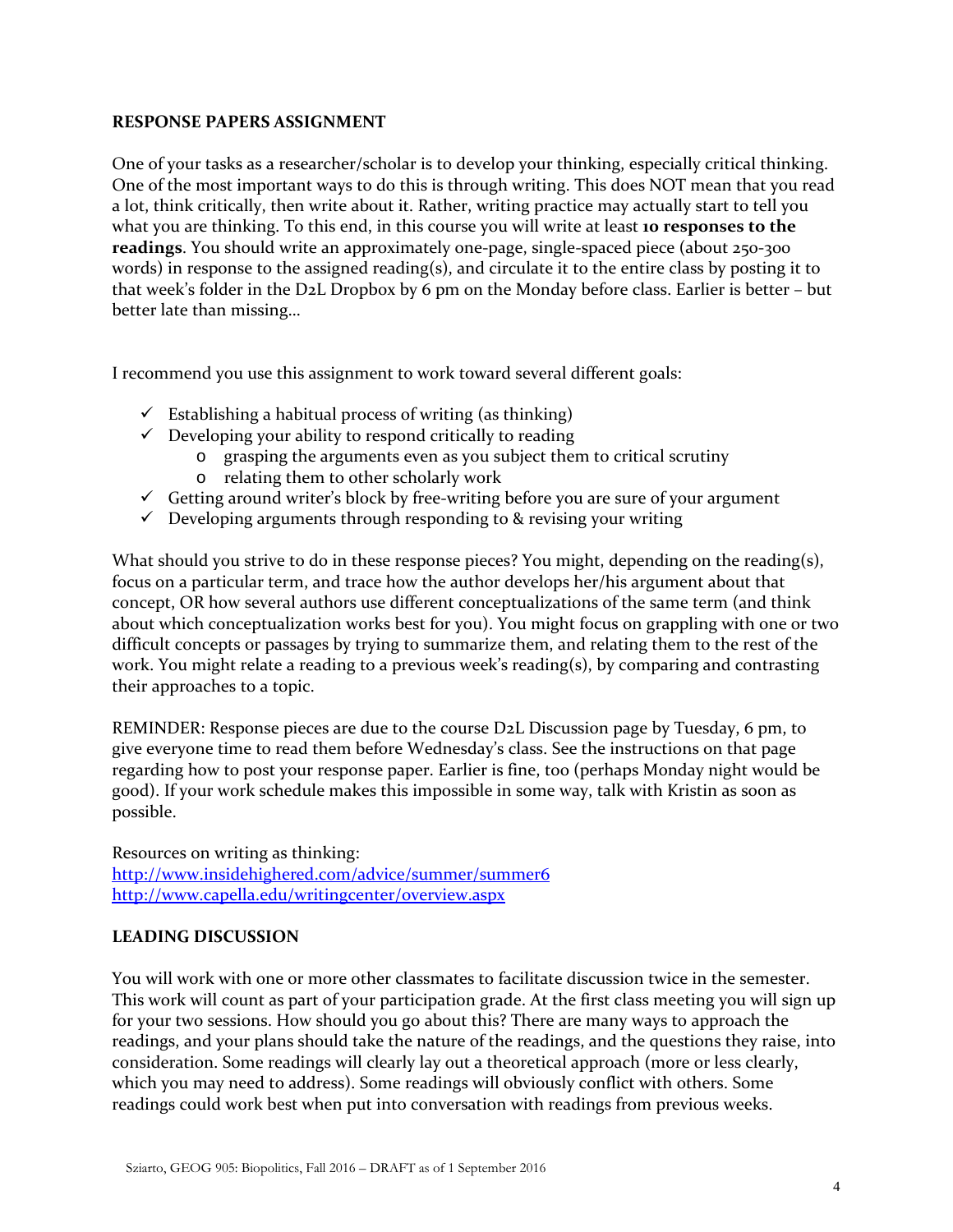# **RESPONSE PAPERS ASSIGNMENT**

One of your tasks as a researcher/scholar is to develop your thinking, especially critical thinking. One of the most important ways to do this is through writing. This does NOT mean that you read a lot, think critically, then write about it. Rather, writing practice may actually start to tell you what you are thinking. To this end, in this course you will write at least **10 responses to the readings**. You should write an approximately one-page, single-spaced piece (about 250-300 words) in response to the assigned reading(s), and circulate it to the entire class by posting it to that week's folder in the D2L Dropbox by 6 pm on the Monday before class. Earlier is better – but better late than missing…

I recommend you use this assignment to work toward several different goals:

- $\checkmark$  Establishing a habitual process of writing (as thinking)
- $\checkmark$  Developing your ability to respond critically to reading
	- o grasping the arguments even as you subject them to critical scrutiny
		- o relating them to other scholarly work
- $\checkmark$  Getting around writer's block by free-writing before you are sure of your argument
- $\checkmark$  Developing arguments through responding to & revising your writing

What should you strive to do in these response pieces? You might, depending on the reading(s), focus on a particular term, and trace how the author develops her/his argument about that concept, OR how several authors use different conceptualizations of the same term (and think about which conceptualization works best for you). You might focus on grappling with one or two difficult concepts or passages by trying to summarize them, and relating them to the rest of the work. You might relate a reading to a previous week's reading(s), by comparing and contrasting their approaches to a topic.

REMINDER: Response pieces are due to the course D2L Discussion page by Tuesday, 6 pm, to give everyone time to read them before Wednesday's class. See the instructions on that page regarding how to post your response paper. Earlier is fine, too (perhaps Monday night would be good). If your work schedule makes this impossible in some way, talk with Kristin as soon as possible.

Resources on writing as thinking: <http://www.insidehighered.com/advice/summer/summer6> <http://www.capella.edu/writingcenter/overview.aspx>

# **LEADING DISCUSSION**

You will work with one or more other classmates to facilitate discussion twice in the semester. This work will count as part of your participation grade. At the first class meeting you will sign up for your two sessions. How should you go about this? There are many ways to approach the readings, and your plans should take the nature of the readings, and the questions they raise, into consideration. Some readings will clearly lay out a theoretical approach (more or less clearly, which you may need to address). Some readings will obviously conflict with others. Some readings could work best when put into conversation with readings from previous weeks.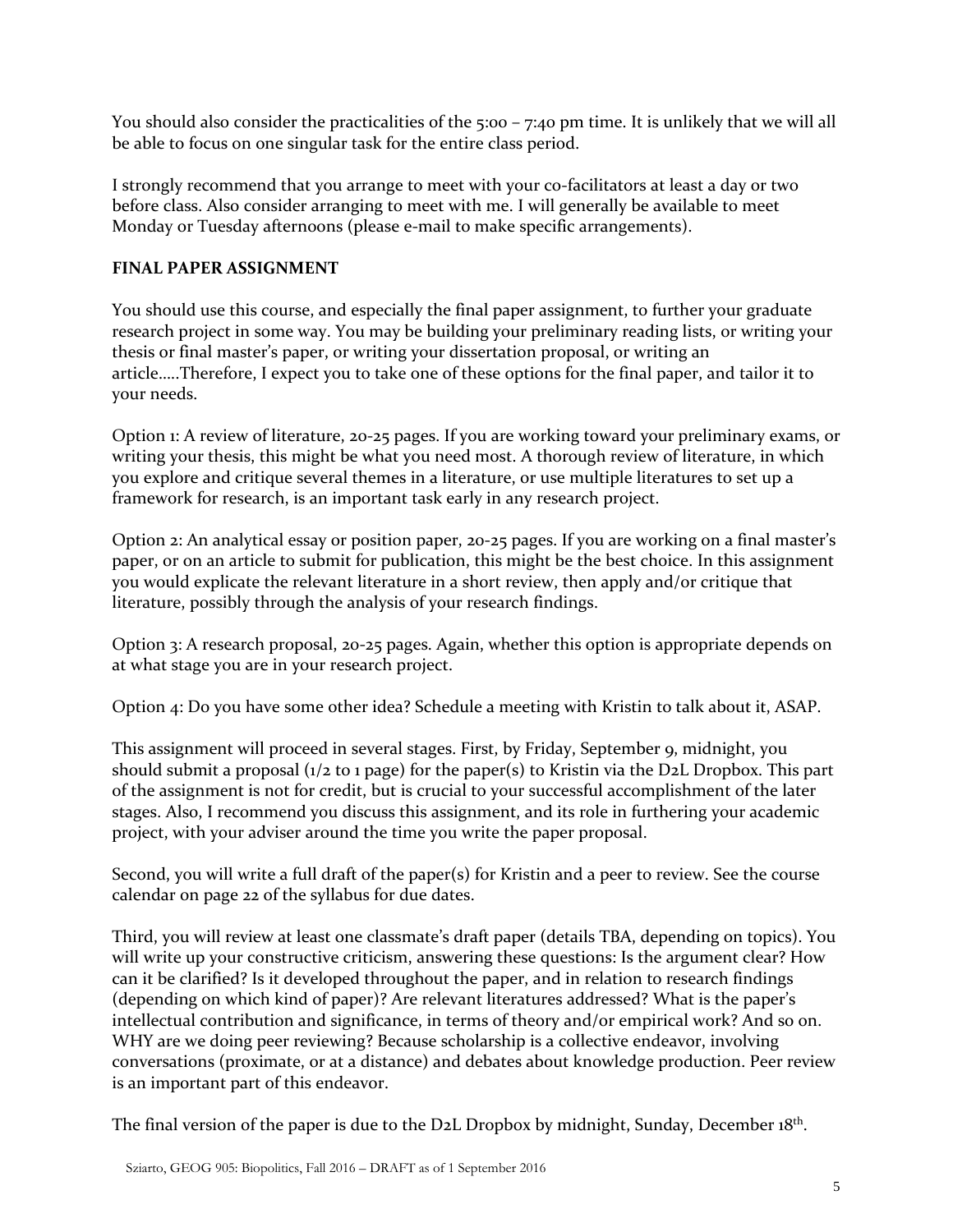You should also consider the practicalities of the 5:00 – 7:40 pm time. It is unlikely that we will all be able to focus on one singular task for the entire class period.

I strongly recommend that you arrange to meet with your co-facilitators at least a day or two before class. Also consider arranging to meet with me. I will generally be available to meet Monday or Tuesday afternoons (please e-mail to make specific arrangements).

# **FINAL PAPER ASSIGNMENT**

You should use this course, and especially the final paper assignment, to further your graduate research project in some way. You may be building your preliminary reading lists, or writing your thesis or final master's paper, or writing your dissertation proposal, or writing an article…..Therefore, I expect you to take one of these options for the final paper, and tailor it to your needs.

Option 1: A review of literature, 20-25 pages. If you are working toward your preliminary exams, or writing your thesis, this might be what you need most. A thorough review of literature, in which you explore and critique several themes in a literature, or use multiple literatures to set up a framework for research, is an important task early in any research project.

Option 2: An analytical essay or position paper, 20-25 pages. If you are working on a final master's paper, or on an article to submit for publication, this might be the best choice. In this assignment you would explicate the relevant literature in a short review, then apply and/or critique that literature, possibly through the analysis of your research findings.

Option 3: A research proposal, 20-25 pages. Again, whether this option is appropriate depends on at what stage you are in your research project.

Option 4: Do you have some other idea? Schedule a meeting with Kristin to talk about it, ASAP.

This assignment will proceed in several stages. First, by Friday, September 9, midnight, you should submit a proposal (1/2 to 1 page) for the paper(s) to Kristin via the D2L Dropbox. This part of the assignment is not for credit, but is crucial to your successful accomplishment of the later stages. Also, I recommend you discuss this assignment, and its role in furthering your academic project, with your adviser around the time you write the paper proposal.

Second, you will write a full draft of the paper(s) for Kristin and a peer to review. See the course calendar on page 22 of the syllabus for due dates.

Third, you will review at least one classmate's draft paper (details TBA, depending on topics). You will write up your constructive criticism, answering these questions: Is the argument clear? How can it be clarified? Is it developed throughout the paper, and in relation to research findings (depending on which kind of paper)? Are relevant literatures addressed? What is the paper's intellectual contribution and significance, in terms of theory and/or empirical work? And so on. WHY are we doing peer reviewing? Because scholarship is a collective endeavor, involving conversations (proximate, or at a distance) and debates about knowledge production. Peer review is an important part of this endeavor.

The final version of the paper is due to the D2L Dropbox by midnight, Sunday, December 18<sup>th</sup>.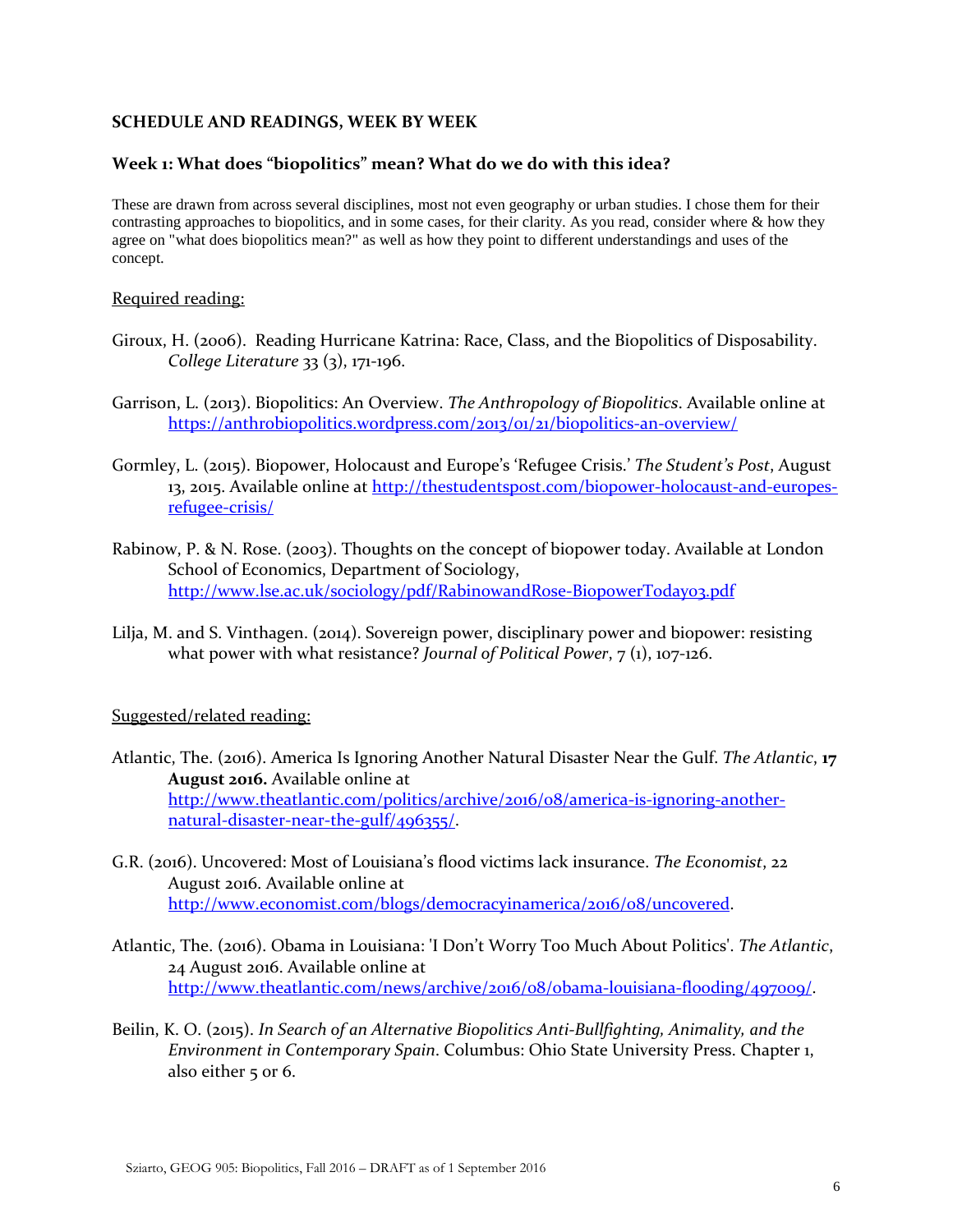# **SCHEDULE AND READINGS, WEEK BY WEEK**

# **Week 1: What does "biopolitics" mean? What do we do with this idea?**

These are drawn from across several disciplines, most not even geography or urban studies. I chose them for their contrasting approaches to biopolitics, and in some cases, for their clarity. As you read, consider where & how they agree on "what does biopolitics mean?" as well as how they point to different understandings and uses of the concept.

# Required reading:

- Giroux, H. (2006). Reading Hurricane Katrina: Race, Class, and the Biopolitics of Disposability. *College Literature* 33 (3), 171-196.
- Garrison, L. (2013). Biopolitics: An Overview. *The Anthropology of Biopolitics*. Available online at <https://anthrobiopolitics.wordpress.com/2013/01/21/biopolitics-an-overview/>
- Gormley, L. (2015). Biopower, Holocaust and Europe's 'Refugee Crisis.' *The Student's Post*, August 13, 2015. Available online at [http://thestudentspost.com/biopower-holocaust-and-europes](http://thestudentspost.com/biopower-holocaust-and-europes-refugee-crisis/)[refugee-crisis/](http://thestudentspost.com/biopower-holocaust-and-europes-refugee-crisis/)
- Rabinow, P. & N. Rose. (2003). Thoughts on the concept of biopower today. Available at London School of Economics, Department of Sociology, <http://www.lse.ac.uk/sociology/pdf/RabinowandRose-BiopowerToday03.pdf>
- Lilja, M. and S. Vinthagen. (2014). Sovereign power, disciplinary power and biopower: resisting what power with what resistance? *Journal of Political Power*, 7 (1), 107-126.

# Suggested/related reading:

- Atlantic, The. (2016). America Is Ignoring Another Natural Disaster Near the Gulf. *The Atlantic*, **17 August 2016.** Available online at [http://www.theatlantic.com/politics/archive/2016/08/america-is-ignoring-another](http://www.theatlantic.com/politics/archive/2016/08/america-is-ignoring-another-natural-disaster-near-the-gulf/496355/)[natural-disaster-near-the-gulf/496355/.](http://www.theatlantic.com/politics/archive/2016/08/america-is-ignoring-another-natural-disaster-near-the-gulf/496355/)
- G.R. (2016). Uncovered: Most of Louisiana's flood victims lack insurance. *The Economist*, 22 August 2016. Available online at [http://www.economist.com/blogs/democracyinamerica/2016/08/uncovered.](http://www.economist.com/blogs/democracyinamerica/2016/08/uncovered)
- Atlantic, The. (2016). Obama in Louisiana: 'I Don't Worry Too Much About Politics'. *The Atlantic*, 24 August 2016. Available online at [http://www.theatlantic.com/news/archive/2016/08/obama-louisiana-flooding/497009/.](http://www.theatlantic.com/news/archive/2016/08/obama-louisiana-flooding/497009/)
- Beilin, K. O. (2015). *In Search of an Alternative Biopolitics Anti-Bullfighting, Animality, and the Environment in Contemporary Spain*. Columbus: Ohio State University Press. Chapter 1, also either 5 or 6.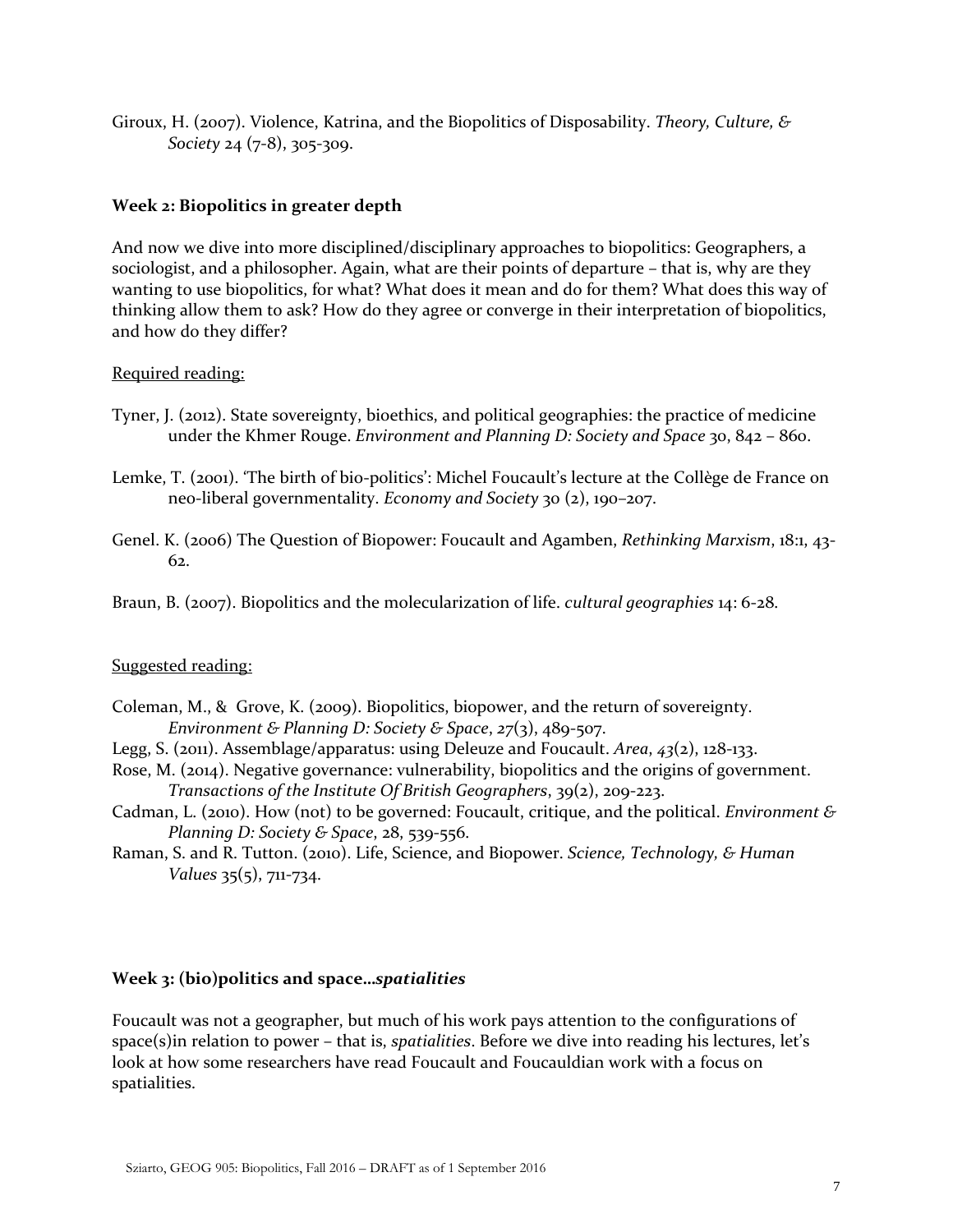Giroux, H. (2007). Violence, Katrina, and the Biopolitics of Disposability. *Theory, Culture, & Society* 24 (7-8), 305-309.

# **Week 2: Biopolitics in greater depth**

And now we dive into more disciplined/disciplinary approaches to biopolitics: Geographers, a sociologist, and a philosopher. Again, what are their points of departure – that is, why are they wanting to use biopolitics, for what? What does it mean and do for them? What does this way of thinking allow them to ask? How do they agree or converge in their interpretation of biopolitics, and how do they differ?

# Required reading:

- Tyner, J. (2012). State sovereignty, bioethics, and political geographies: the practice of medicine under the Khmer Rouge. *Environment and Planning D: Society and Space* 30, 842 – 860.
- Lemke, T. (2001). 'The birth of bio-politics': Michel Foucault's lecture at the Collège de France on neo-liberal governmentality. *Economy and Society* 30 (2), 190–207.
- Genel. K. (2006) The Question of Biopower: Foucault and Agamben, *Rethinking Marxism*, 18:1, 43- 62.

Braun, B. (2007). Biopolitics and the molecularization of life. *cultural geographies* 14: 6-28.

# Suggested reading:

- Coleman, M., & Grove, K. (2009). Biopolitics, biopower, and the return of sovereignty. *Environment & Planning D: Society & Space*, *27*(3), 489-507.
- Legg, S. (2011). Assemblage/apparatus: using Deleuze and Foucault. *Area*, *43*(2), 128-133.
- Rose, M. (2014). Negative governance: vulnerability, biopolitics and the origins of government. *Transactions of the Institute Of British Geographers*, 39(2), 209-223.
- Cadman, L. (2010). How (not) to be governed: Foucault, critique, and the political. *Environment & Planning D: Society & Space*, 28, 539-556.
- Raman, S. and R. Tutton. (2010). Life, Science, and Biopower. *Science, Technology, & Human Values* 35(5), 711-734.

# **Week 3: (bio)politics and space…***spatialities*

Foucault was not a geographer, but much of his work pays attention to the configurations of space(s)in relation to power – that is, *spatialities*. Before we dive into reading his lectures, let's look at how some researchers have read Foucault and Foucauldian work with a focus on spatialities.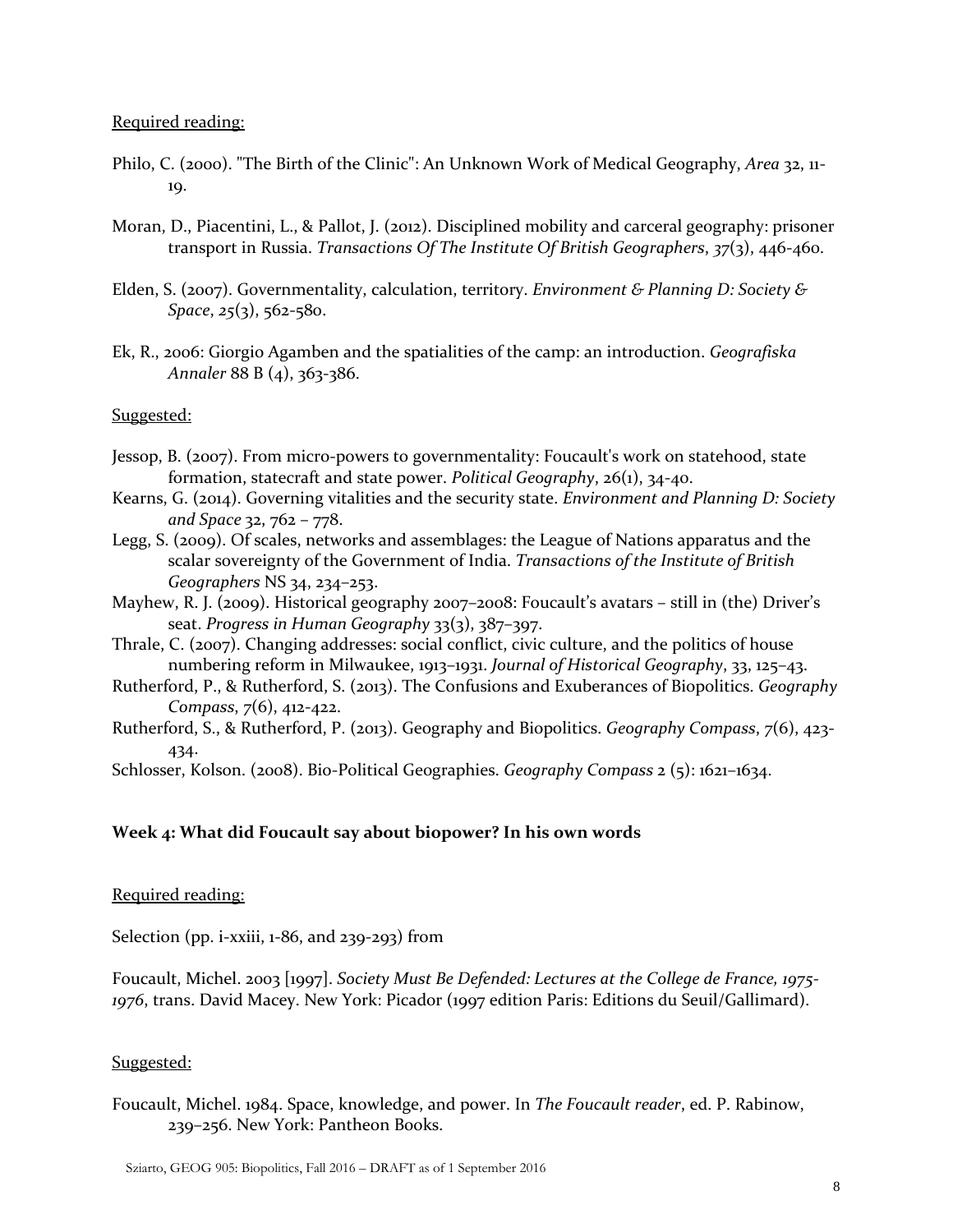### Required reading:

- Philo, C. (2000). "The Birth of the Clinic": An Unknown Work of Medical Geography, *Area* 32, 11- 19.
- Moran, D., Piacentini, L., & Pallot, J. (2012). Disciplined mobility and carceral geography: prisoner transport in Russia. *Transactions Of The Institute Of British Geographers*, *37*(3), 446-460.
- Elden, S. (2007). Governmentality, calculation, territory. *Environment & Planning D: Society & Space*, *25*(3), 562-580.
- Ek, R., 2006: Giorgio Agamben and the spatialities of the camp: an introduction. *Geografiska Annaler* 88 B (4), 363-386.

# Suggested:

- Jessop, B. (2007). From micro-powers to governmentality: Foucault's work on statehood, state formation, statecraft and state power. *Political Geography*, 26(1), 34-40.
- Kearns, G. (2014). Governing vitalities and the security state. *Environment and Planning D: Society and Space* 32, 762 – 778.
- Legg, S. (2009). Of scales, networks and assemblages: the League of Nations apparatus and the scalar sovereignty of the Government of India. *Transactions of the Institute of British Geographers* NS 34, 234–253.
- Mayhew, R. J. (2009). Historical geography 2007–2008: Foucault's avatars still in (the) Driver's seat. *Progress in Human Geography* 33(3), 387–397.
- Thrale, C. (2007). Changing addresses: social conflict, civic culture, and the politics of house numbering reform in Milwaukee, 1913–1931. *Journal of Historical Geography*, 33, 125–43.
- Rutherford, P., & Rutherford, S. (2013). The Confusions and Exuberances of Biopolitics. *Geography Compass*, *7*(6), 412-422.
- Rutherford, S., & Rutherford, P. (2013). Geography and Biopolitics. *Geography Compass*, *7*(6), 423- 434.

Schlosser, Kolson. (2008). Bio-Political Geographies. *Geography Compass* 2 (5): 1621–1634.

# **Week 4: What did Foucault say about biopower? In his own words**

# Required reading:

Selection (pp. i-xxiii, 1-86, and 239-293) from

Foucault, Michel. 2003 [1997]. *Society Must Be Defended: Lectures at the College de France, 1975- 1976*, trans. David Macey. New York: Picador (1997 edition Paris: Editions du Seuil/Gallimard).

# Suggested:

Foucault, Michel. 1984. Space, knowledge, and power. In *The Foucault reader*, ed. P. Rabinow, 239–256. New York: Pantheon Books.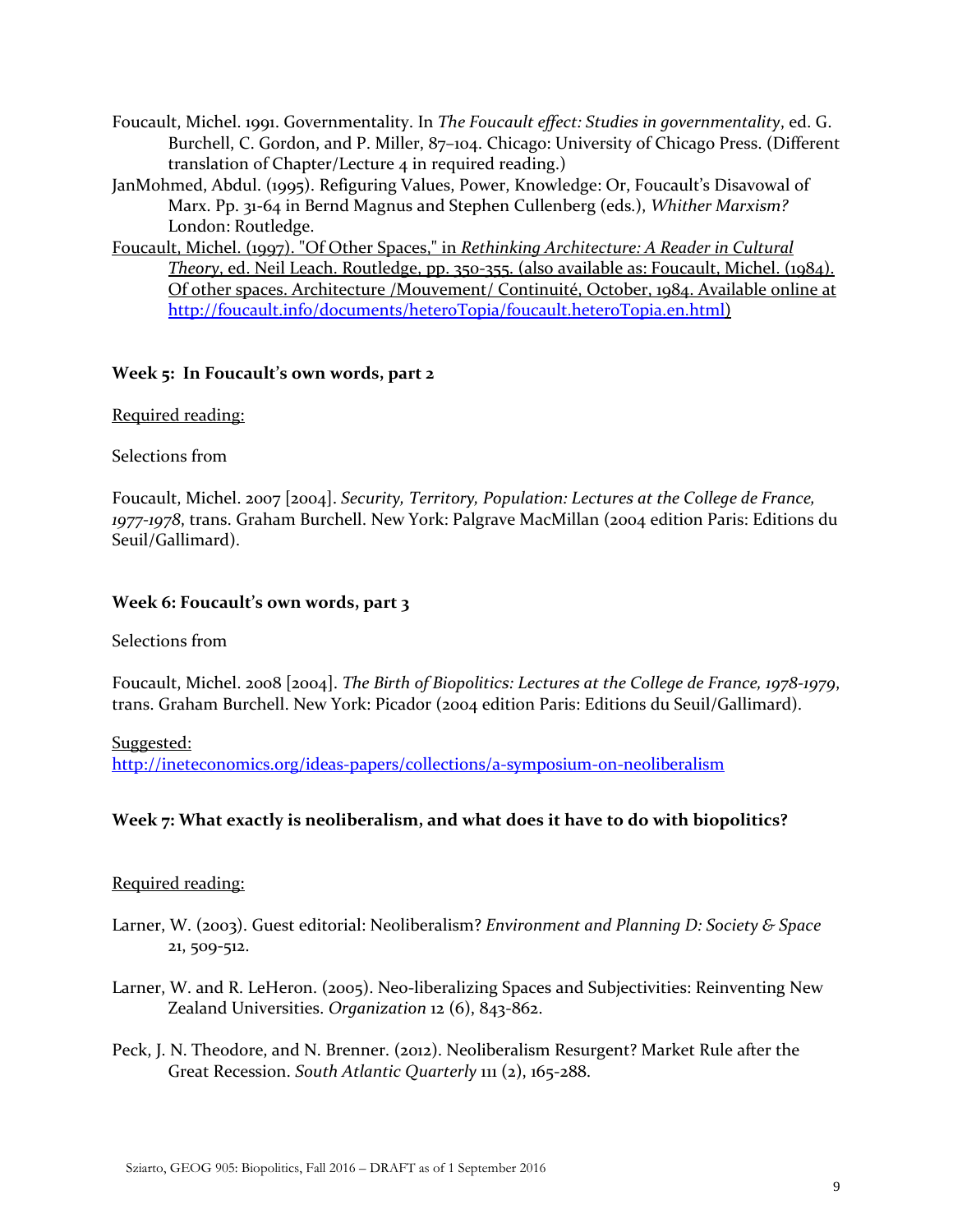- Foucault, Michel. 1991. Governmentality. In *The Foucault effect: Studies in governmentality*, ed. G. Burchell, C. Gordon, and P. Miller, 87–104. Chicago: University of Chicago Press. (Different translation of Chapter/Lecture 4 in required reading.)
- JanMohmed, Abdul. (1995). Refiguring Values, Power, Knowledge: Or, Foucault's Disavowal of Marx. Pp. 31-64 in Bernd Magnus and Stephen Cullenberg (eds.), *Whither Marxism?* London: Routledge.
- Foucault, Michel. (1997). "Of Other Spaces," in *Rethinking Architecture: A Reader in Cultural Theory*, ed. Neil Leach. Routledge, pp. 350-355. (also available as: Foucault, Michel. (1984). Of other spaces. Architecture /Mouvement/ Continuité, October, 1984. Available online at [http://foucault.info/documents/heteroTopia/foucault.heteroTopia.en.html\)](http://foucault.info/documents/heteroTopia/foucault.heteroTopia.en.html)

# **Week 5: In Foucault's own words, part 2**

# Required reading:

# Selections from

Foucault, Michel. 2007 [2004]. *Security, Territory, Population: Lectures at the College de France, 1977-1978*, trans. Graham Burchell. New York: Palgrave MacMillan (2004 edition Paris: Editions du Seuil/Gallimard).

# **Week 6: Foucault's own words, part 3**

# Selections from

Foucault, Michel. 2008 [2004]. *The Birth of Biopolitics: Lectures at the College de France, 1978-1979*, trans. Graham Burchell. New York: Picador (2004 edition Paris: Editions du Seuil/Gallimard).

# Suggested:

<http://ineteconomics.org/ideas-papers/collections/a-symposium-on-neoliberalism>

# **Week 7: What exactly is neoliberalism, and what does it have to do with biopolitics?**

# Required reading:

- Larner, W. (2003). Guest editorial: Neoliberalism? *Environment and Planning D: Society & Space* 21, 509-512.
- Larner, W. and R. LeHeron. (2005). Neo-liberalizing Spaces and Subjectivities: Reinventing New Zealand Universities. *Organization* 12 (6), 843-862.
- Peck, J. N. Theodore, and N. Brenner. (2012). Neoliberalism Resurgent? Market Rule after the Great Recession. *South Atlantic Quarterly* 111 (2), 165-288.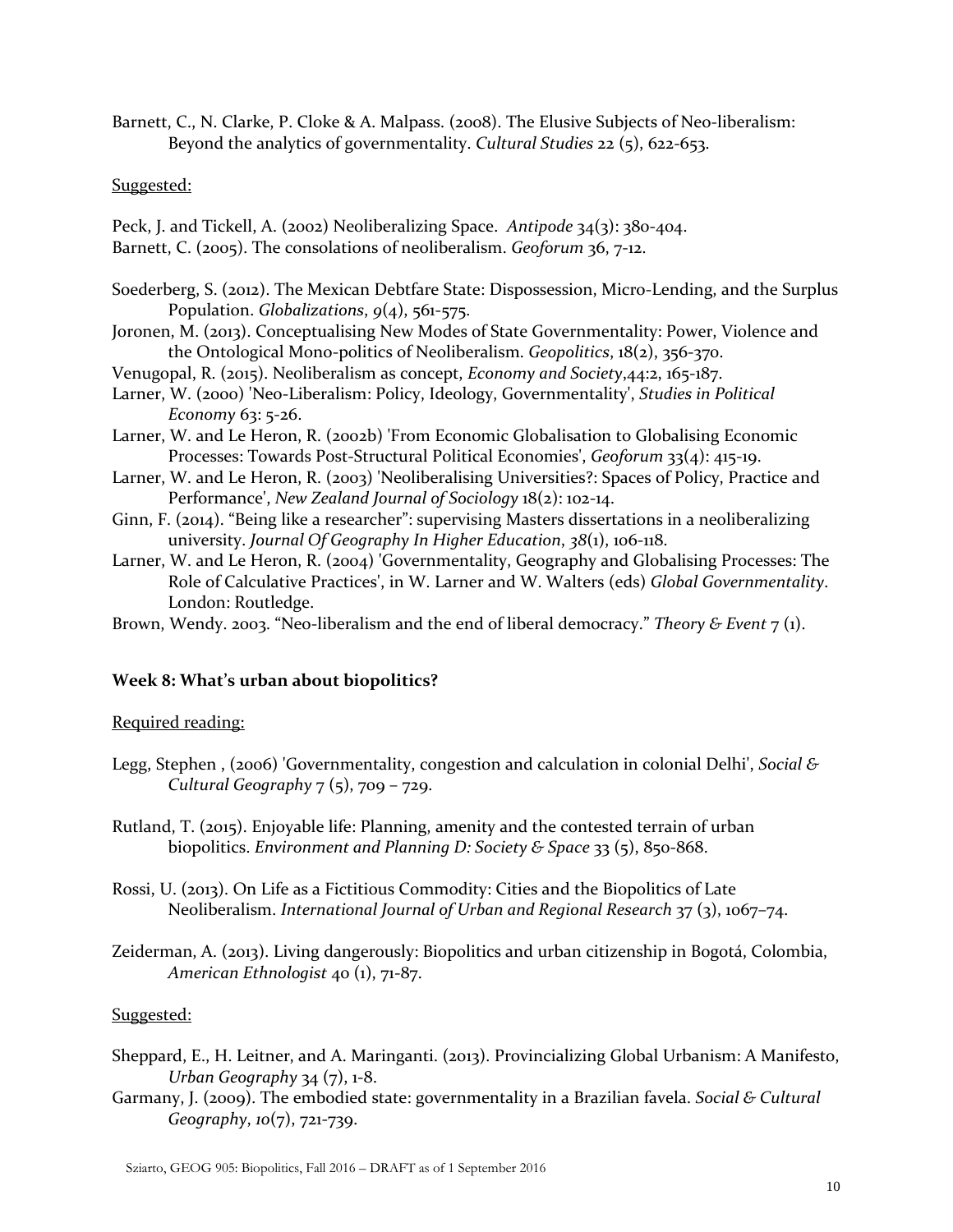Barnett, C., N. Clarke, P. Cloke & A. Malpass. (2008). The Elusive Subjects of Neo-liberalism: Beyond the analytics of governmentality. *Cultural Studies* 22 (5), 622-653.

# Suggested:

Peck, J. and Tickell, A. (2002) Neoliberalizing Space. *Antipode* 34(3): 380-404. Barnett, C. (2005). The consolations of neoliberalism. *Geoforum* 36, 7-12.

- Soederberg, S. (2012). The Mexican Debtfare State: Dispossession, Micro-Lending, and the Surplus Population. *Globalizations*, *9*(4), 561-575.
- Joronen, M. (2013). Conceptualising New Modes of State Governmentality: Power, Violence and the Ontological Mono-politics of Neoliberalism. *Geopolitics*, 18(2), 356-370.
- Venugopal, R. (2015). Neoliberalism as concept, *Economy and Society*,44:2, 165-187.
- Larner, W. (2000) 'Neo-Liberalism: Policy, Ideology, Governmentality', *Studies in Political Economy* 63: 5-26.
- Larner, W. and Le Heron, R. (2002b) 'From Economic Globalisation to Globalising Economic Processes: Towards Post-Structural Political Economies', *Geoforum* 33(4): 415-19.
- Larner, W. and Le Heron, R. (2003) 'Neoliberalising Universities?: Spaces of Policy, Practice and Performance', *New Zealand Journal of Sociology* 18(2): 102-14.
- Ginn, F. (2014). "Being like a researcher": supervising Masters dissertations in a neoliberalizing university. *Journal Of Geography In Higher Education*, *38*(1), 106-118.
- Larner, W. and Le Heron, R. (2004) 'Governmentality, Geography and Globalising Processes: The Role of Calculative Practices', in W. Larner and W. Walters (eds) *Global Governmentality*. London: Routledge.

Brown, Wendy. 2003. "Neo-liberalism and the end of liberal democracy." *Theory & Event* 7 (1).

# **Week 8: What's urban about biopolitics?**

# Required reading:

- Legg, Stephen , (2006) 'Governmentality, congestion and calculation in colonial Delhi', *Social & Cultural Geography* 7 (5), 709 – 729.
- Rutland, T. (2015). Enjoyable life: Planning, amenity and the contested terrain of urban biopolitics. *Environment and Planning D: Society & Space* 33 (5), 850-868.
- Rossi, U. (2013). On Life as a Fictitious Commodity: Cities and the Biopolitics of Late Neoliberalism. *International Journal of Urban and Regional Research* 37 (3), 1067–74.
- Zeiderman, A. (2013). Living dangerously: Biopolitics and urban citizenship in Bogotá, Colombia, *American Ethnologist* 40 (1), 71-87.

# Suggested:

- Sheppard, E., H. Leitner, and A. Maringanti. (2013). Provincializing Global Urbanism: A Manifesto, *Urban Geography* 34 (7), 1-8.
- Garmany, J. (2009). The embodied state: governmentality in a Brazilian favela. *Social & Cultural Geography*, *10*(7), 721-739.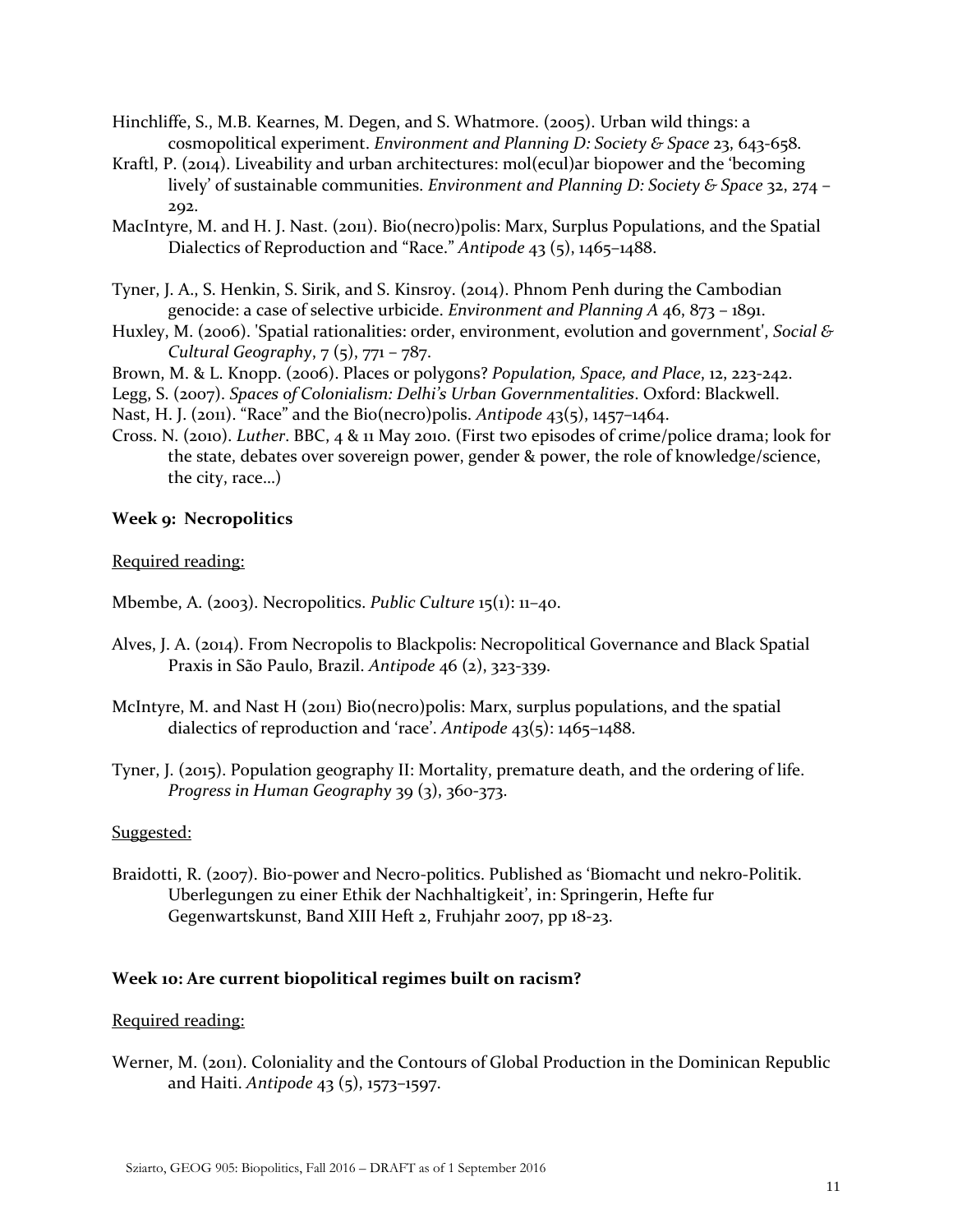- Hinchliffe, S., M.B. Kearnes, M. Degen, and S. Whatmore. (2005). Urban wild things: a cosmopolitical experiment. *Environment and Planning D: Society & Space* 23, 643-658.
- Kraftl, P. (2014). Liveability and urban architectures: mol(ecul)ar biopower and the 'becoming lively' of sustainable communities. *Environment and Planning D: Society & Space* 32, 274 – 292.
- MacIntyre, M. and H. J. Nast. (2011). Bio(necro)polis: Marx, Surplus Populations, and the Spatial Dialectics of Reproduction and "Race." *Antipode* 43 (5), 1465–1488.
- Tyner, J. A., S. Henkin, S. Sirik, and S. Kinsroy. (2014). Phnom Penh during the Cambodian genocide: a case of selective urbicide. *Environment and Planning A* 46, 873 – 1891.
- Huxley, M. (2006). 'Spatial rationalities: order, environment, evolution and government', *Social & Cultural Geography*, 7 (5), 771 – 787.
- Brown, M. & L. Knopp. (2006). Places or polygons? *Population, Space, and Place*, 12, 223-242.
- Legg, S. (2007). *Spaces of Colonialism: Delhi's Urban Governmentalities*. Oxford: Blackwell.
- Nast, H. J. (2011). "Race" and the Bio(necro)polis. *Antipode* 43(5), 1457–1464.
- Cross. N. (2010). *Luther*. BBC, 4 & 11 May 2010. (First two episodes of crime/police drama; look for the state, debates over sovereign power, gender & power, the role of knowledge/science, the city, race…)

### **Week 9: Necropolitics**

Required reading:

Mbembe, A. (2003). Necropolitics. *Public Culture* 15(1): 11–40.

- Alves, J. A. (2014). From Necropolis to Blackpolis: Necropolitical Governance and Black Spatial Praxis in São Paulo, Brazil. *Antipode* 46 (2), 323-339.
- McIntyre, M. and Nast H (2011) Bio(necro)polis: Marx, surplus populations, and the spatial dialectics of reproduction and 'race'. *Antipode* 43(5): 1465–1488.
- Tyner, J. (2015). Population geography II: Mortality, premature death, and the ordering of life. *Progress in Human Geography* 39 (3), 360-373.

# Suggested:

Braidotti, R. (2007). Bio-power and Necro-politics. Published as 'Biomacht und nekro-Politik. Uberlegungen zu einer Ethik der Nachhaltigkeit', in: Springerin, Hefte fur Gegenwartskunst, Band XIII Heft 2, Fruhjahr 2007, pp 18-23.

### **Week 10: Are current biopolitical regimes built on racism?**

### Required reading:

Werner, M. (2011). Coloniality and the Contours of Global Production in the Dominican Republic and Haiti. *Antipode* 43 (5), 1573–1597.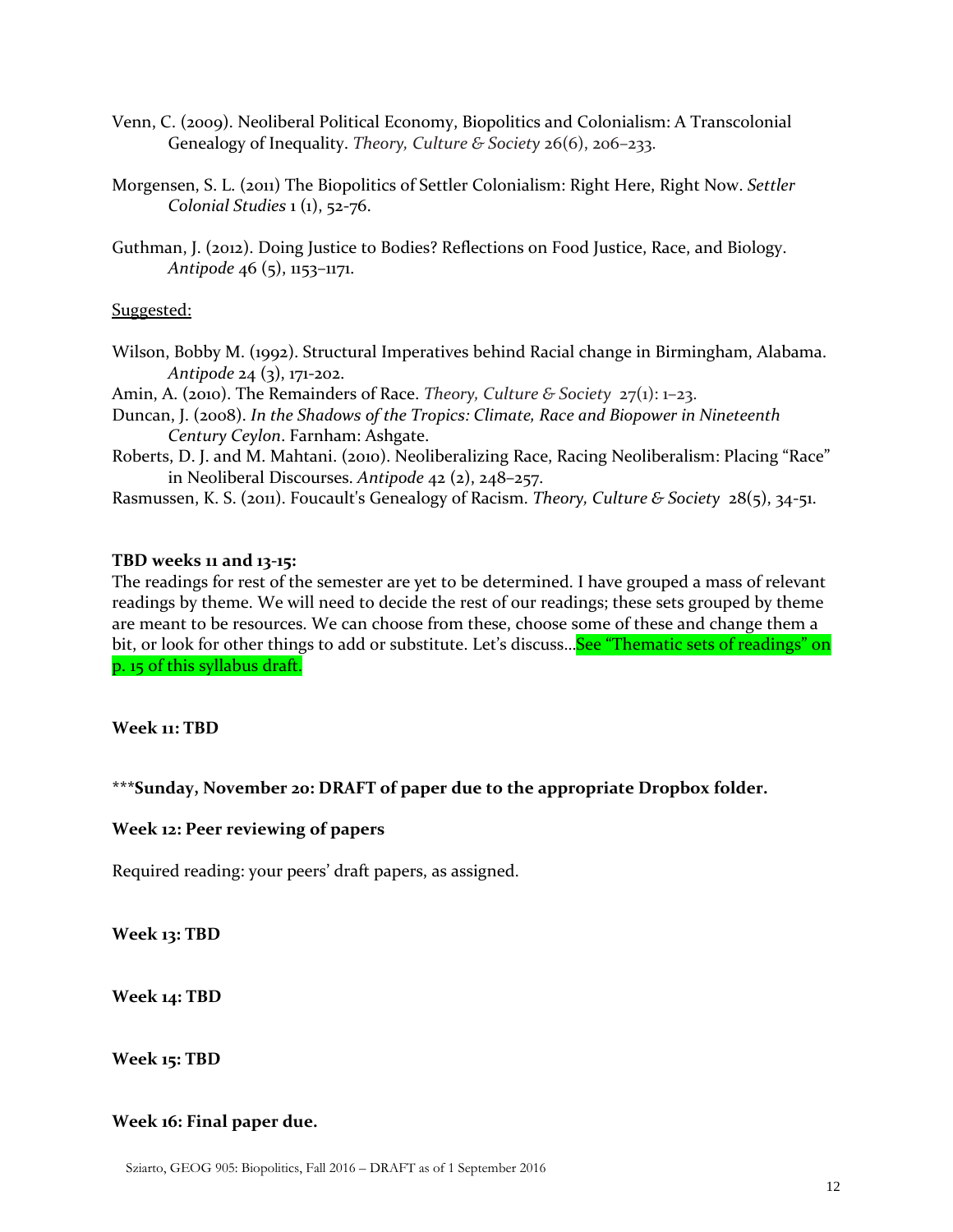- Venn, C. (2009). Neoliberal Political Economy, Biopolitics and Colonialism: A Transcolonial Genealogy of Inequality. *Theory, Culture & Society* 26(6), 206–233.
- Morgensen, S. L. (2011) The Biopolitics of Settler Colonialism: Right Here, Right Now. *Settler Colonial Studies* 1 (1), 52-76.
- Guthman, J. (2012). Doing Justice to Bodies? Reflections on Food Justice, Race, and Biology. *Antipode* 46 (5), 1153–1171.

# Suggested:

- Wilson, Bobby M. (1992). Structural Imperatives behind Racial change in Birmingham, Alabama. *Antipode* 24 (3), 171-202.
- Amin, A. (2010). The Remainders of Race. *Theory, Culture & Society* 27(1): 1–23.
- Duncan, J. (2008). *In the Shadows of the Tropics: Climate, Race and Biopower in Nineteenth Century Ceylon*. Farnham: Ashgate.
- Roberts, D. J. and M. Mahtani. (2010). Neoliberalizing Race, Racing Neoliberalism: Placing "Race" in Neoliberal Discourses. *Antipode* 42 (2), 248–257.
- Rasmussen, K. S. (2011). Foucault's Genealogy of Racism. *Theory, Culture & Society* 28(5), 34-51.

# **TBD weeks 11 and 13-15:**

The readings for rest of the semester are yet to be determined. I have grouped a mass of relevant readings by theme. We will need to decide the rest of our readings; these sets grouped by theme are meant to be resources. We can choose from these, choose some of these and change them a bit, or look for other things to add or substitute. Let's discuss... See "Thematic sets of readings" on p. 15 of this syllabus draft.

**Week 11: TBD**

# **\*\*\*Sunday, November 20: DRAFT of paper due to the appropriate Dropbox folder.**

# **Week 12: Peer reviewing of papers**

Required reading: your peers' draft papers, as assigned.

**Week 13: TBD**

**Week 14: TBD**

**Week 15: TBD**

# **Week 16: Final paper due.**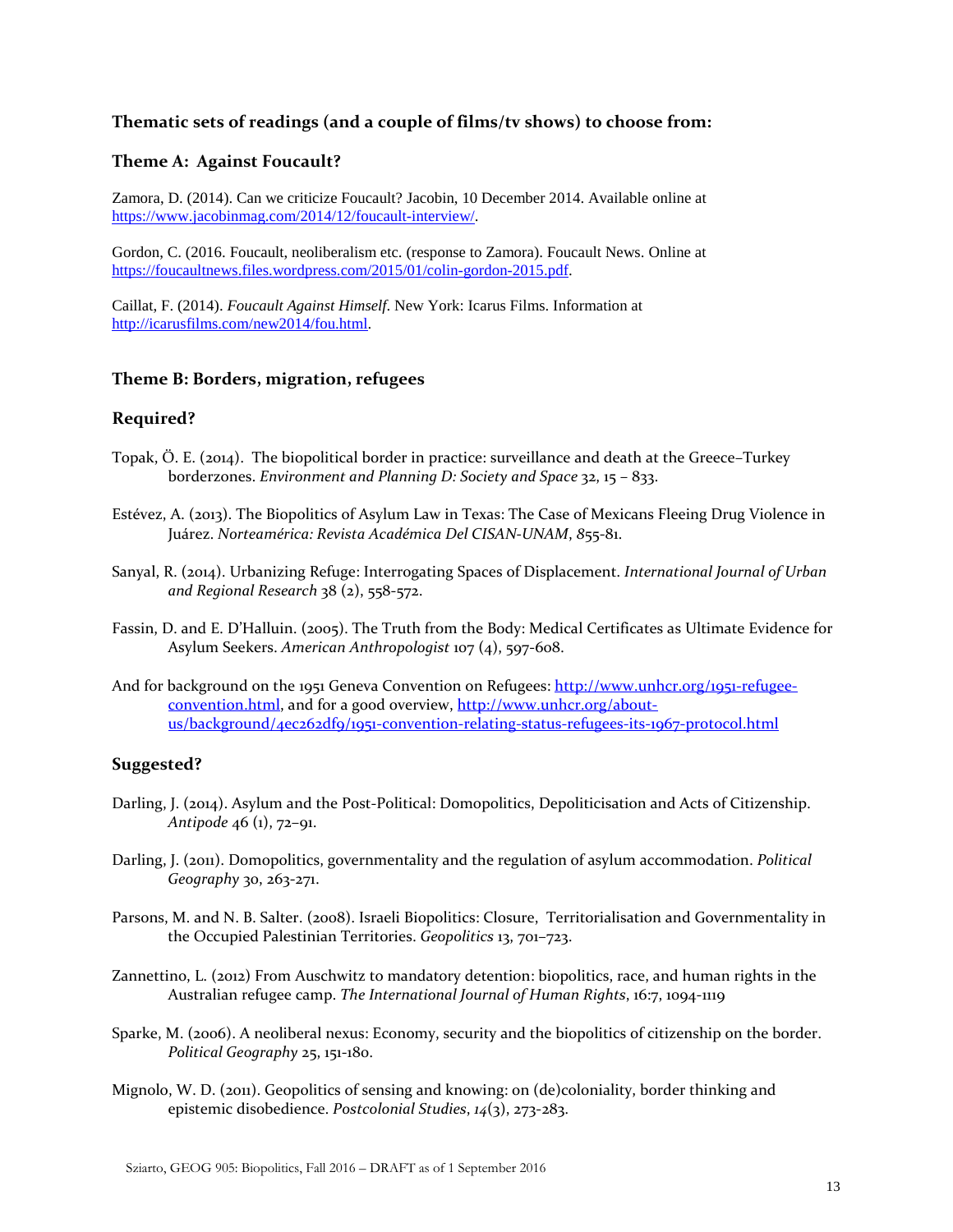# **Thematic sets of readings (and a couple of films/tv shows) to choose from:**

### **Theme A: Against Foucault?**

Zamora, D. (2014). Can we criticize Foucault? Jacobin, 10 December 2014. Available online at [https://www.jacobinmag.com/2014/12/foucault-interview/.](https://www.jacobinmag.com/2014/12/foucault-interview/)

Gordon, C. (2016. Foucault, neoliberalism etc. (response to Zamora). Foucault News. Online at [https://foucaultnews.files.wordpress.com/2015/01/colin-gordon-2015.pdf.](https://foucaultnews.files.wordpress.com/2015/01/colin-gordon-2015.pdf) 

Caillat, F. (2014). *Foucault Against Himself*. New York: Icarus Films. Information at [http://icarusfilms.com/new2014/fou.html.](http://icarusfilms.com/new2014/fou.html) 

### **Theme B: Borders, migration, refugees**

# **Required?**

- Topak, Ö. E. (2014). The biopolitical border in practice: surveillance and death at the Greece–Turkey borderzones. *Environment and Planning D: Society and Space* 32, 15 – 833.
- Estévez, A. (2013). The Biopolitics of Asylum Law in Texas: The Case of Mexicans Fleeing Drug Violence in Juárez. *Norteamérica: Revista Académica Del CISAN-UNAM*, *8*55-81.
- Sanyal, R. (2014). Urbanizing Refuge: Interrogating Spaces of Displacement. *International Journal of Urban and Regional Research* 38 (2), 558-572.
- Fassin, D. and E. D'Halluin. (2005). The Truth from the Body: Medical Certificates as Ultimate Evidence for Asylum Seekers. *American Anthropologist* 107 (4), 597-608.
- And for background on the 1951 Geneva Convention on Refugees: [http://www.unhcr.org/1951-refugee](http://www.unhcr.org/1951-refugee-convention.html)[convention.html,](http://www.unhcr.org/1951-refugee-convention.html) and for a good overview, [http://www.unhcr.org/about](http://www.unhcr.org/about-us/background/4ec262df9/1951-convention-relating-status-refugees-its-1967-protocol.html)[us/background/4ec262df9/1951-convention-relating-status-refugees-its-1967-protocol.html](http://www.unhcr.org/about-us/background/4ec262df9/1951-convention-relating-status-refugees-its-1967-protocol.html)

#### **Suggested?**

- Darling, J. (2014). Asylum and the Post-Political: Domopolitics, Depoliticisation and Acts of Citizenship. *Antipode* 46 (1), 72–91.
- Darling, J. (2011). Domopolitics, governmentality and the regulation of asylum accommodation. *Political Geography* 30, 263-271.
- Parsons, M. and N. B. Salter. (2008). Israeli Biopolitics: Closure, Territorialisation and Governmentality in the Occupied Palestinian Territories. *Geopolitics* 13, 701–723.
- Zannettino, L. (2012) From Auschwitz to mandatory detention: biopolitics, race, and human rights in the Australian refugee camp. *The International Journal of Human Rights*, 16:7, 1094-1119
- Sparke, M. (2006). A neoliberal nexus: Economy, security and the biopolitics of citizenship on the border. *Political Geography* 25, 151-180.
- Mignolo, W. D. (2011). Geopolitics of sensing and knowing: on (de)coloniality, border thinking and epistemic disobedience. *Postcolonial Studies*, *14*(3), 273-283.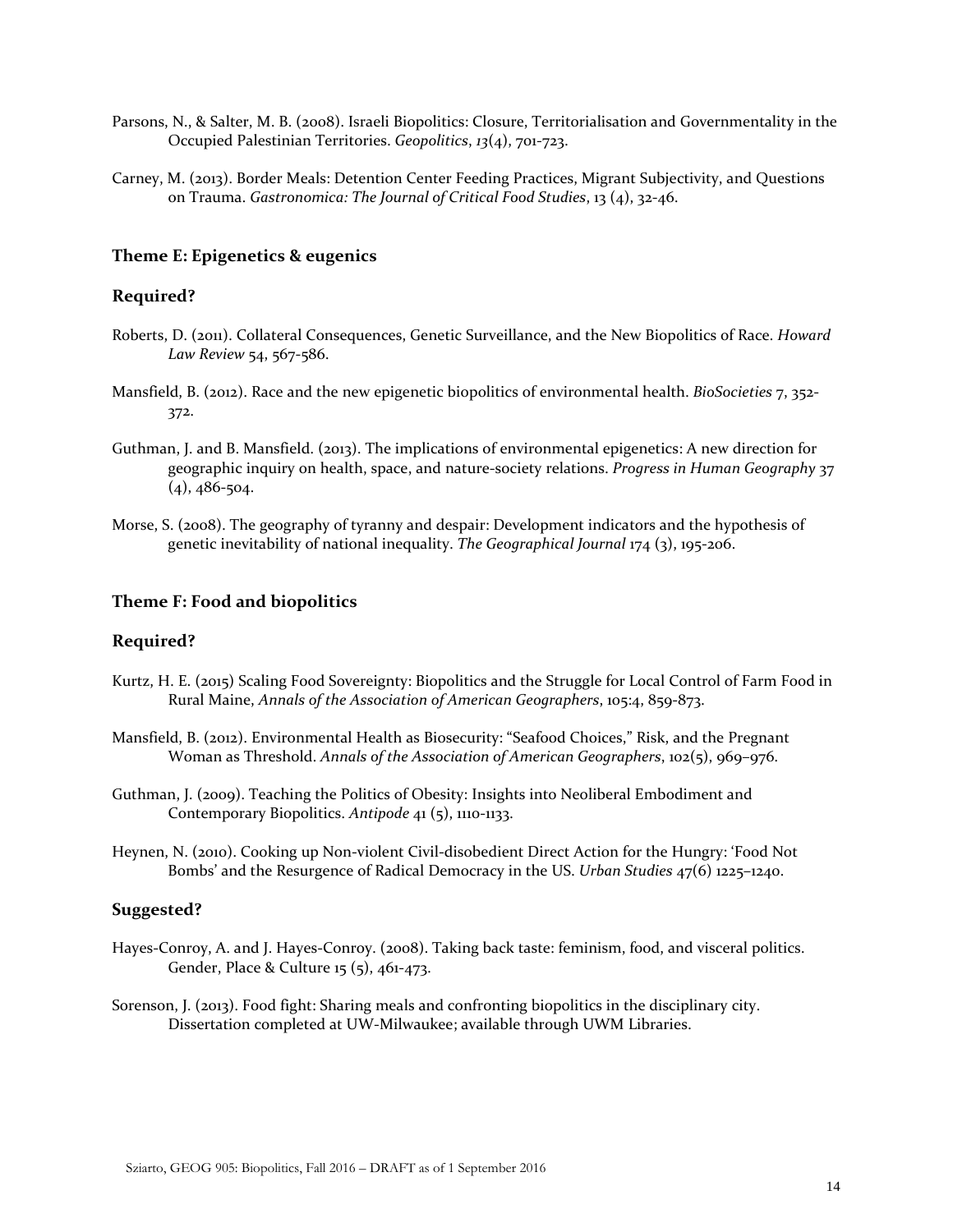- Parsons, N., & Salter, M. B. (2008). Israeli Biopolitics: Closure, Territorialisation and Governmentality in the Occupied Palestinian Territories. *Geopolitics*, *13*(4), 701-723.
- Carney, M. (2013). Border Meals: Detention Center Feeding Practices, Migrant Subjectivity, and Questions on Trauma. *Gastronomica: The Journal of Critical Food Studies*, 13 (4), 32-46.

# **Theme E: Epigenetics & eugenics**

#### **Required?**

- Roberts, D. (2011). Collateral Consequences, Genetic Surveillance, and the New Biopolitics of Race. *Howard Law Review* 54, 567-586.
- Mansfield, B. (2012). Race and the new epigenetic biopolitics of environmental health. *BioSocieties* 7, 352- 372.
- Guthman, J. and B. Mansfield. (2013). The implications of environmental epigenetics: A new direction for geographic inquiry on health, space, and nature-society relations. *Progress in Human Geography* 37  $(4)$ , 486-504.
- Morse, S. (2008). The geography of tyranny and despair: Development indicators and the hypothesis of genetic inevitability of national inequality. *The Geographical Journal* 174 (3), 195-206.

# **Theme F: Food and biopolitics**

### **Required?**

- Kurtz, H. E. (2015) Scaling Food Sovereignty: Biopolitics and the Struggle for Local Control of Farm Food in Rural Maine, *Annals of the Association of American Geographers*, 105:4, 859-873.
- Mansfield, B. (2012). Environmental Health as Biosecurity: "Seafood Choices," Risk, and the Pregnant Woman as Threshold. *Annals of the Association of American Geographers*, 102(5), 969–976.
- Guthman, J. (2009). Teaching the Politics of Obesity: Insights into Neoliberal Embodiment and Contemporary Biopolitics. *Antipode* 41 (5), 1110-1133.
- Heynen, N. (2010). Cooking up Non-violent Civil-disobedient Direct Action for the Hungry: 'Food Not Bombs' and the Resurgence of Radical Democracy in the US. *Urban Studies* 47(6) 1225–1240.

#### **Suggested?**

- Hayes-Conroy, A. and J. Hayes-Conroy. (2008). Taking back taste: feminism, food, and visceral politics. Gender, Place & Culture 15 (5), 461-473.
- Sorenson, J. (2013). Food fight: Sharing meals and confronting biopolitics in the disciplinary city. Dissertation completed at UW-Milwaukee; available through UWM Libraries.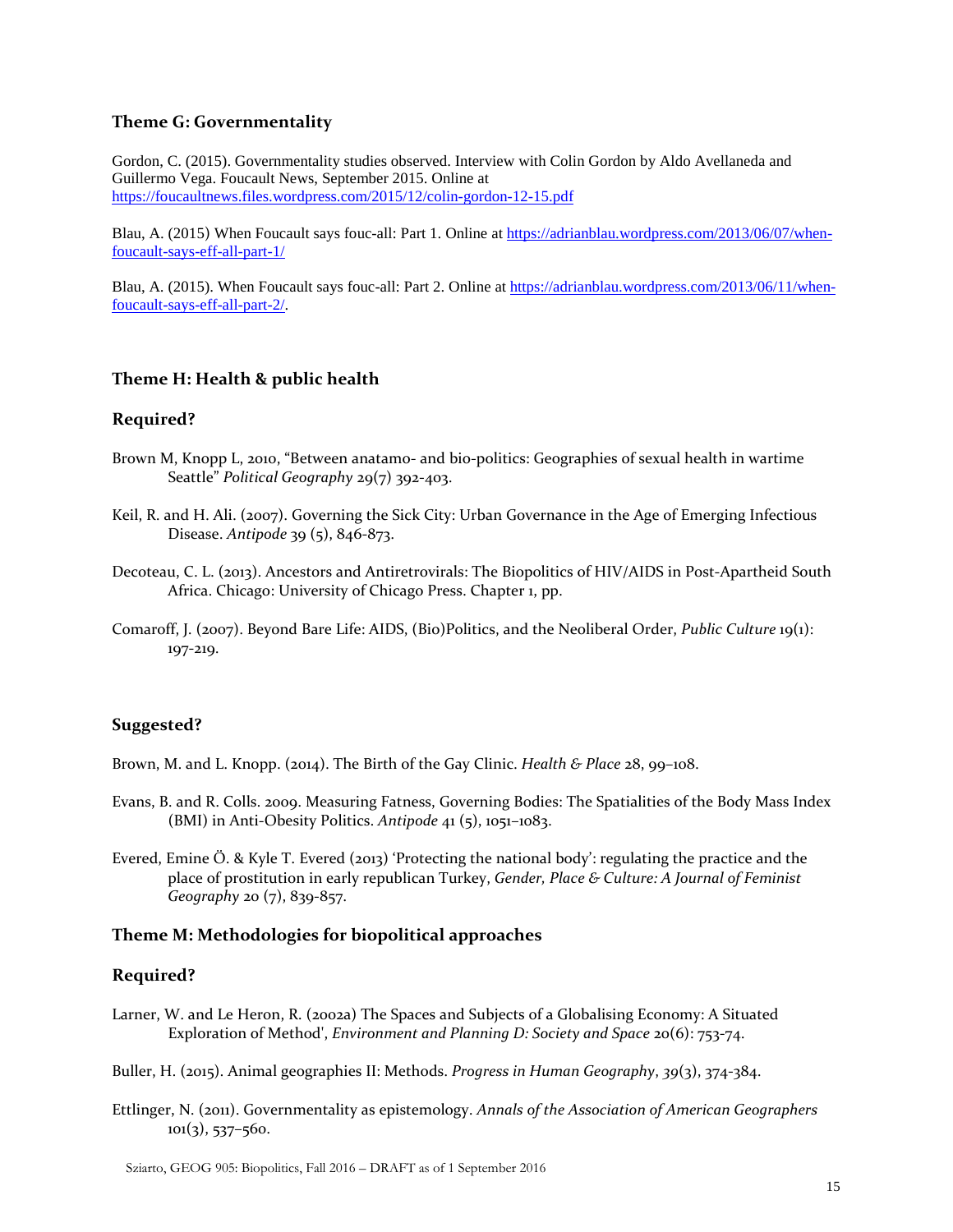### **Theme G: Governmentality**

Gordon, C. (2015). Governmentality studies observed. Interview with Colin Gordon by Aldo Avellaneda and Guillermo Vega. Foucault News, September 2015. Online at <https://foucaultnews.files.wordpress.com/2015/12/colin-gordon-12-15.pdf>

Blau, A. (2015) When Foucault says fouc-all: Part 1. Online a[t https://adrianblau.wordpress.com/2013/06/07/when](https://adrianblau.wordpress.com/2013/06/07/when-foucault-says-eff-all-part-1/)[foucault-says-eff-all-part-1/](https://adrianblau.wordpress.com/2013/06/07/when-foucault-says-eff-all-part-1/)

Blau, A. (2015). When Foucault says fouc-all: Part 2. Online at [https://adrianblau.wordpress.com/2013/06/11/when](https://adrianblau.wordpress.com/2013/06/11/when-foucault-says-eff-all-part-2/)[foucault-says-eff-all-part-2/.](https://adrianblau.wordpress.com/2013/06/11/when-foucault-says-eff-all-part-2/)

### **Theme H: Health & public health**

### **Required?**

- Brown M, Knopp L, 2010, "Between anatamo- and bio-politics: Geographies of sexual health in wartime Seattle" *Political Geography* 29(7) 392-403.
- Keil, R. and H. Ali. (2007). Governing the Sick City: Urban Governance in the Age of Emerging Infectious Disease. *Antipode* 39 (5), 846-873.
- Decoteau, C. L. (2013). Ancestors and Antiretrovirals: The Biopolitics of HIV/AIDS in Post-Apartheid South Africa. Chicago: University of Chicago Press. Chapter 1, pp.
- Comaroff, J. (2007). Beyond Bare Life: AIDS, (Bio)Politics, and the Neoliberal Order, *Public Culture* 19(1): 197-219.

# **Suggested?**

Brown, M. and L. Knopp. (2014). The Birth of the Gay Clinic. *Health & Place* 28, 99–108.

- Evans, B. and R. Colls. 2009. Measuring Fatness, Governing Bodies: The Spatialities of the Body Mass Index (BMI) in Anti-Obesity Politics. *Antipode* 41 (5), 1051–1083.
- Evered, Emine Ö. & Kyle T. Evered (2013) 'Protecting the national body': regulating the practice and the place of prostitution in early republican Turkey, *Gender, Place & Culture: A Journal of Feminist Geography* 20 (7), 839-857.

#### **Theme M: Methodologies for biopolitical approaches**

#### **Required?**

- Larner, W. and Le Heron, R. (2002a) The Spaces and Subjects of a Globalising Economy: A Situated Exploration of Method', *Environment and Planning D: Society and Space* 20(6): 753-74.
- Buller, H. (2015). Animal geographies II: Methods. *Progress in Human Geography*, *39*(3), 374-384.
- Ettlinger, N. (2011). Governmentality as epistemology. *Annals of the Association of American Geographers*  $101(3)$ , 537–560.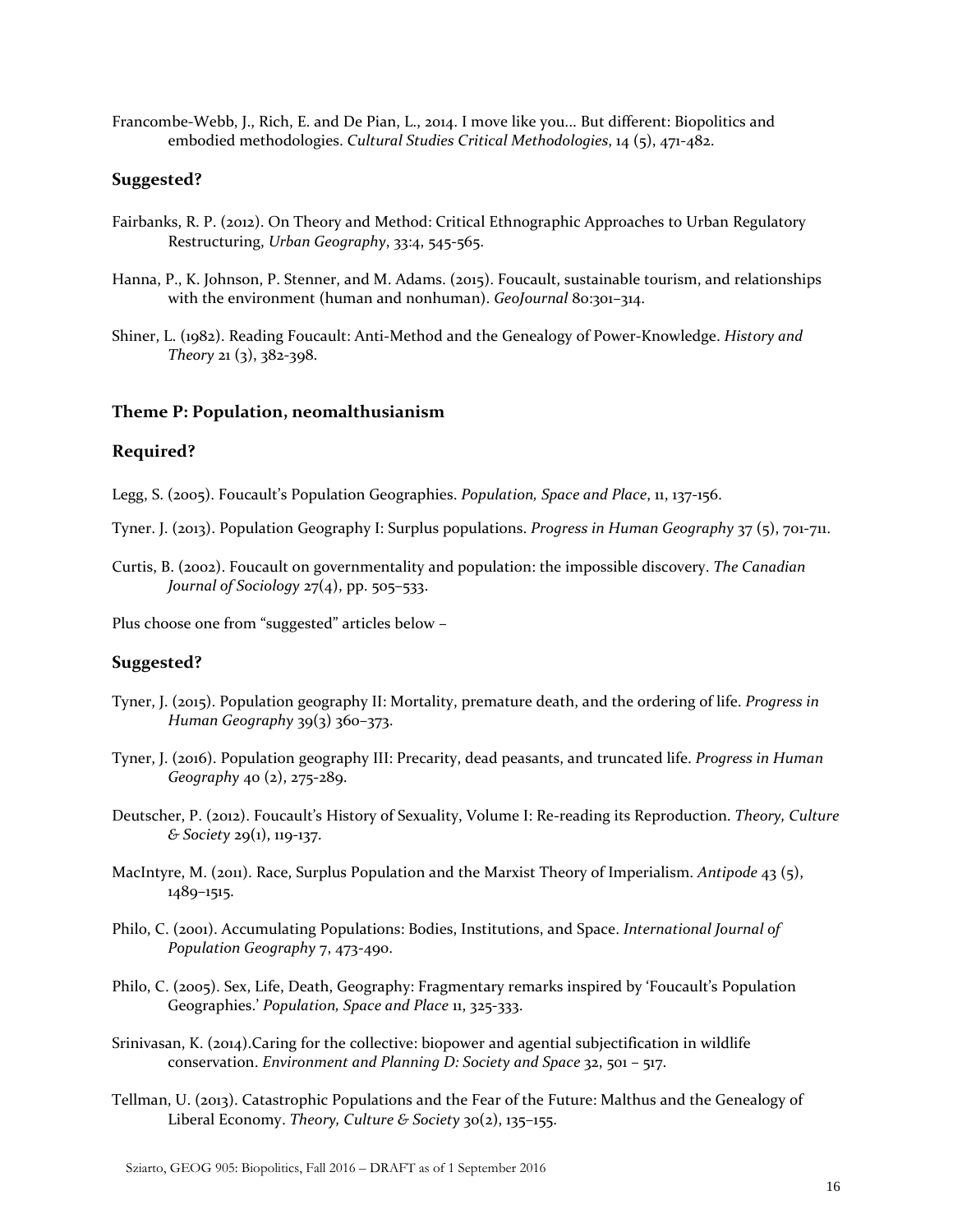Francombe-Webb, J., Rich, E. and De Pian, L., 2014. I move like you... But different: Biopolitics and embodied methodologies. *Cultural Studies Critical Methodologies*, 14 (5), 471-482.

#### **Suggested?**

- Fairbanks, R. P. (2012). On Theory and Method: Critical Ethnographic Approaches to Urban Regulatory Restructuring, *Urban Geography*, 33:4, 545-565.
- Hanna, P., K. Johnson, P. Stenner, and M. Adams. (2015). Foucault, sustainable tourism, and relationships with the environment (human and nonhuman). *GeoJournal* 80:301–314.
- Shiner, L. (1982). Reading Foucault: Anti-Method and the Genealogy of Power-Knowledge. *History and Theory* 21 (3), 382-398.

#### **Theme P: Population, neomalthusianism**

#### **Required?**

Legg, S. (2005). Foucault's Population Geographies. *Population, Space and Place*, 11, 137-156.

Tyner. J. (2013). Population Geography I: Surplus populations. *Progress in Human Geography* 37 (5), 701-711.

Curtis, B. (2002). Foucault on governmentality and population: the impossible discovery. *The Canadian Journal of Sociology* 27(4), pp. 505–533.

Plus choose one from "suggested" articles below –

#### **Suggested?**

- Tyner, J. (2015). Population geography II: Mortality, premature death, and the ordering of life. *Progress in Human Geography* 39(3) 360–373.
- Tyner, J. (2016). Population geography III: Precarity, dead peasants, and truncated life. *Progress in Human Geography* 40 (2), 275-289.
- Deutscher, P. (2012). Foucault's History of Sexuality, Volume I: Re-reading its Reproduction. *Theory, Culture & Society* 29(1), 119-137.
- MacIntyre, M. (2011). Race, Surplus Population and the Marxist Theory of Imperialism. *Antipode* 43 (5), 1489–1515.
- Philo, C. (2001). Accumulating Populations: Bodies, Institutions, and Space. *International Journal of Population Geography* 7, 473-490.
- Philo, C. (2005). Sex, Life, Death, Geography: Fragmentary remarks inspired by 'Foucault's Population Geographies.' *Population, Space and Place* 11, 325-333.
- Srinivasan, K. (2014).Caring for the collective: biopower and agential subjectification in wildlife conservation. *Environment and Planning D: Society and Space* 32, 501 – 517.
- Tellman, U. (2013). Catastrophic Populations and the Fear of the Future: Malthus and the Genealogy of Liberal Economy. *Theory, Culture & Society* 30(2), 135–155.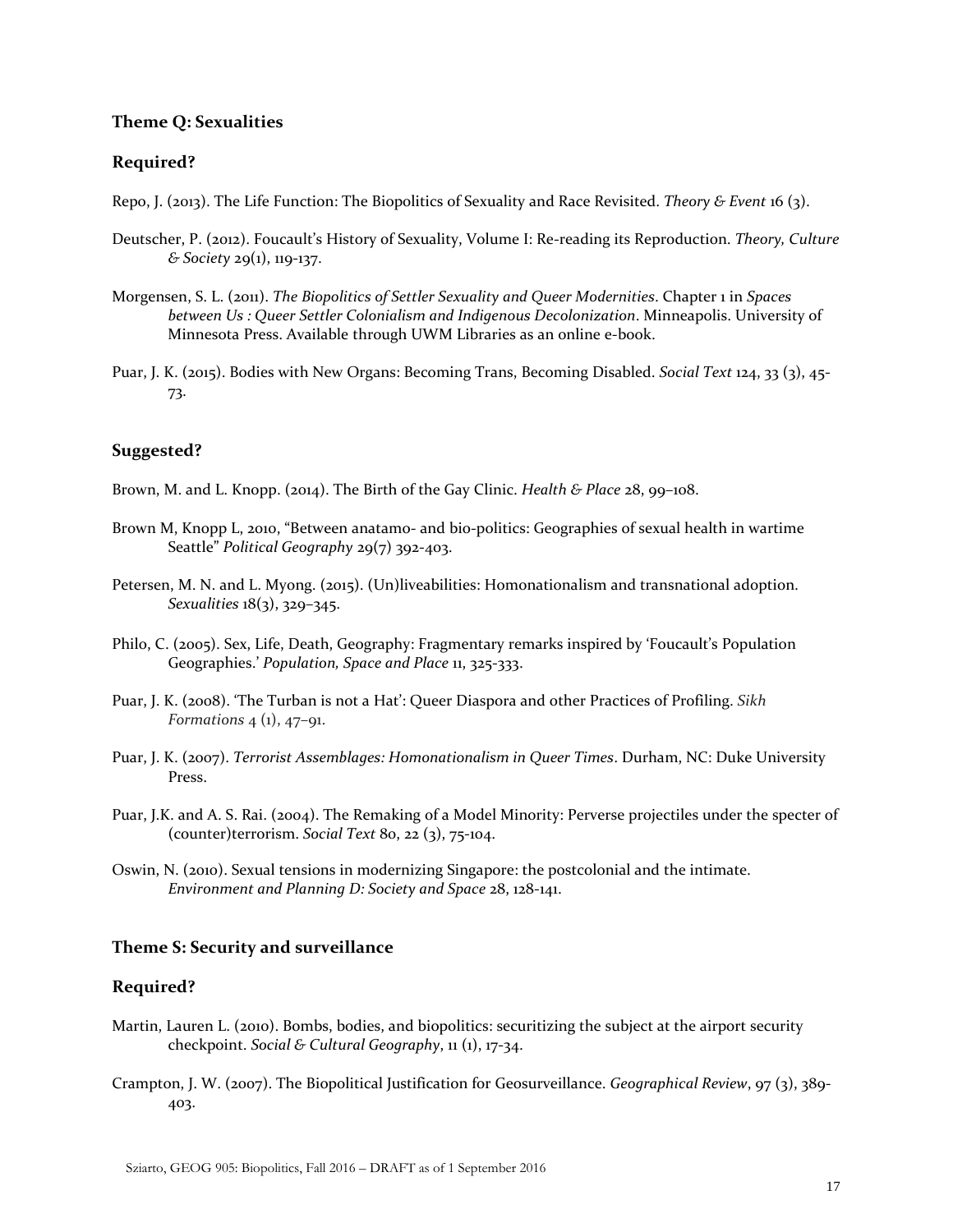#### **Theme Q: Sexualities**

#### **Required?**

Repo, J. (2013). The Life Function: The Biopolitics of Sexuality and Race Revisited. *Theory & Event* 16 (3).

- Deutscher, P. (2012). Foucault's History of Sexuality, Volume I: Re-reading its Reproduction. *Theory, Culture & Society* 29(1), 119-137.
- Morgensen, S. L. (2011). *[The Biopolitics of Settler Sexuality and Queer Modernities](http://site.ebrary.com.ezproxy.lib.uwm.edu/lib/uowi/reader.action?docID=10531205&ppg=47)*. Chapter 1 in *Spaces between Us : Queer Settler Colonialism and Indigenous Decolonization*. Minneapolis. University of Minnesota Press. Available through UWM Libraries as an online e-book.
- Puar, J. K. (2015). Bodies with New Organs: Becoming Trans, Becoming Disabled. *Social Text* 124, 33 (3), 45- 73.

### **Suggested?**

Brown, M. and L. Knopp. (2014). The Birth of the Gay Clinic. *Health & Place* 28, 99–108.

- Brown M, Knopp L, 2010, "Between anatamo- and bio-politics: Geographies of sexual health in wartime Seattle" *Political Geography* 29(7) 392-403.
- Petersen, M. N. and L. Myong. (2015). (Un)liveabilities: Homonationalism and transnational adoption. *Sexualities* 18(3), 329–345.
- Philo, C. (2005). Sex, Life, Death, Geography: Fragmentary remarks inspired by 'Foucault's Population Geographies.' *Population, Space and Place* 11, 325-333.
- Puar, J. K. (2008). 'The Turban is not a Hat': Queer Diaspora and other Practices of Profiling. *Sikh Formations* 4 (1), 47–91.
- Puar, J. K. (2007). *Terrorist Assemblages: Homonationalism in Queer Times*. Durham, NC: Duke University Press.
- Puar, J.K. and A. S. Rai. (2004). The Remaking of a Model Minority: Perverse projectiles under the specter of (counter)terrorism. *Social Text* 80, 22 (3), 75-104.
- Oswin, N. (2010). Sexual tensions in modernizing Singapore: the postcolonial and the intimate. *Environment and Planning D: Society and Space* 28, 128-141.

#### **Theme S: Security and surveillance**

#### **Required?**

- Martin, Lauren L. (2010). Bombs, bodies, and biopolitics: securitizing the subject at the airport security checkpoint. *Social & Cultural Geography*, 11 (1), 17-34.
- Crampton, J. W. (2007). The Biopolitical Justification for Geosurveillance. *Geographical Review*, 97 (3), 389- 403.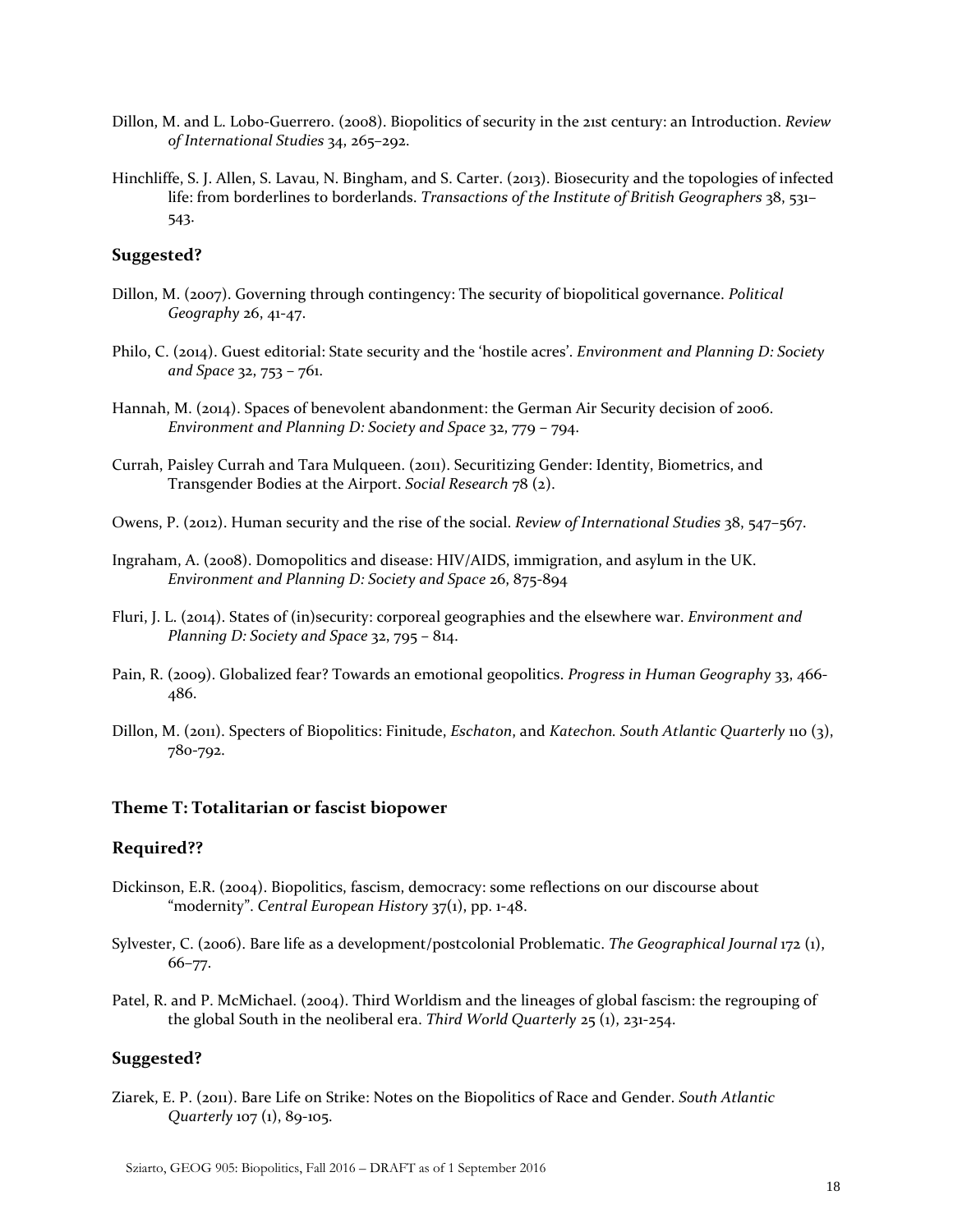- Dillon, M. and L. Lobo-Guerrero. (2008). Biopolitics of security in the 21st century: an Introduction. *Review of International Studies* 34, 265–292.
- Hinchliffe, S. J. Allen, S. Lavau, N. Bingham, and S. Carter. (2013). Biosecurity and the topologies of infected life: from borderlines to borderlands. *Transactions of the Institute of British Geographers* 38, 531– 543.

# **Suggested?**

- Dillon, M. (2007). Governing through contingency: The security of biopolitical governance. *Political Geography* 26, 41-47.
- Philo, C. (2014). Guest editorial: State security and the 'hostile acres'. *Environment and Planning D: Society and Space* 32, 753 – 761.
- Hannah, M. (2014). Spaces of benevolent abandonment: the German Air Security decision of 2006. *Environment and Planning D: Society and Space* 32, 779 – 794.
- Currah, Paisley Currah and Tara Mulqueen. (2011). Securitizing Gender: Identity, Biometrics, and Transgender Bodies at the Airport. *Social Research* 78 (2).
- Owens, P. (2012). Human security and the rise of the social. *Review of International Studies* 38, 547–567.
- Ingraham, A. (2008). Domopolitics and disease: HIV/AIDS, immigration, and asylum in the UK. *Environment and Planning D: Society and Space* 26, 875-894
- Fluri, J. L. (2014). States of (in)security: corporeal geographies and the elsewhere war. *Environment and Planning D: Society and Space* 32, 795 – 814.
- Pain, R. (2009). Globalized fear? Towards an emotional geopolitics. *Progress in Human Geography* 33, 466- 486.
- Dillon, M. (2011). Specters of Biopolitics: Finitude, *Eschaton*, and *Katechon. South Atlantic Quarterly* 110 (3), 780-792.

#### **Theme T: Totalitarian or fascist biopower**

#### **Required??**

- Dickinson, E.R. (2004). Biopolitics, fascism, democracy: some reflections on our discourse about "modernity". *Central European History* 37(1), pp. 1-48.
- Sylvester, C. (2006). Bare life as a development/postcolonial Problematic. *The Geographical Journal* 172 (1), 66–77.
- Patel, R. and P. McMichael. (2004). Third Worldism and the lineages of global fascism: the regrouping of the global South in the neoliberal era. *Third World Quarterly* 25 (1), 231-254.

### **Suggested?**

Ziarek, E. P. (2011). Bare Life on Strike: Notes on the Biopolitics of Race and Gender. *South Atlantic Quarterly* 107 (1), 89-105.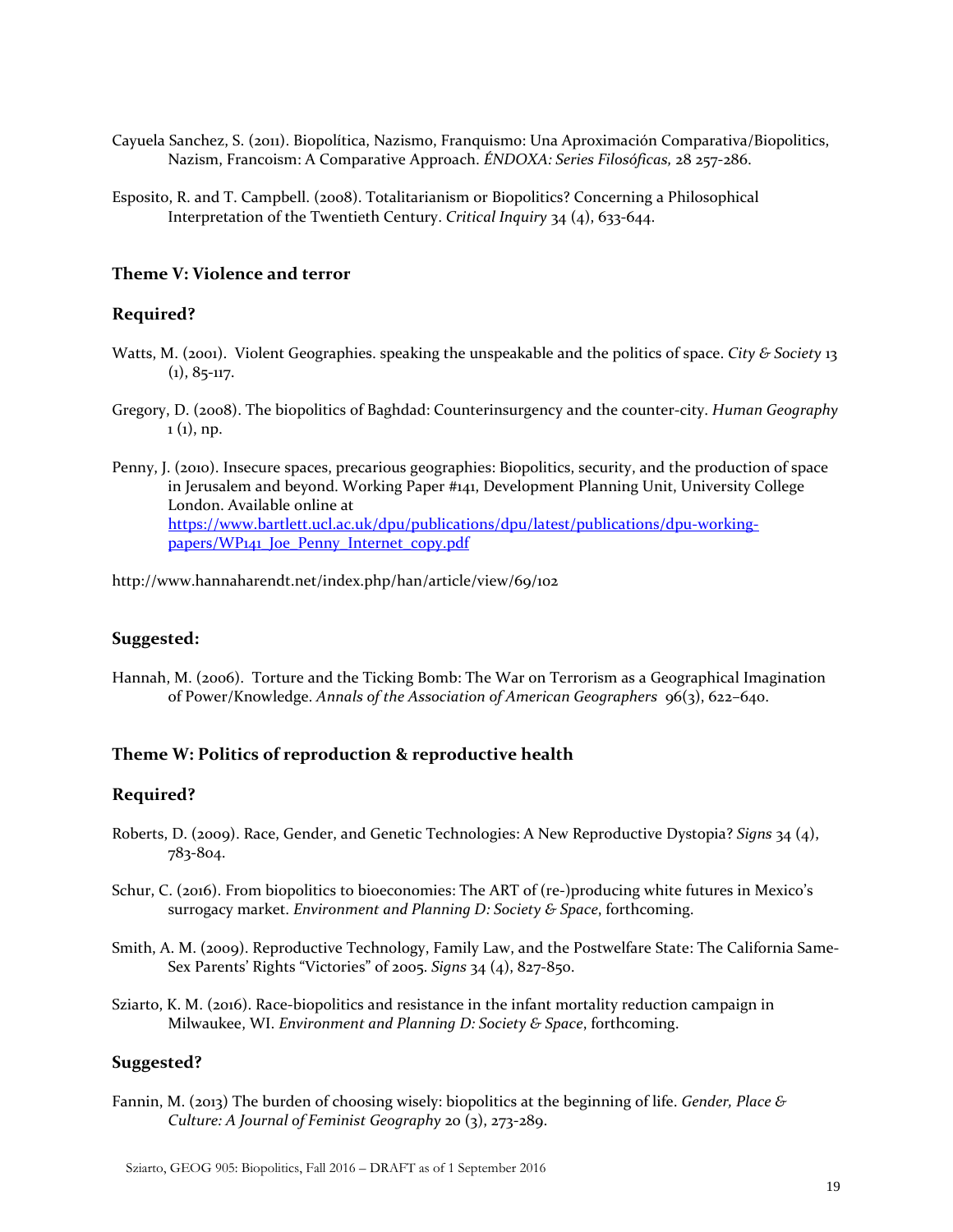- Cayuela Sanchez, S. (2011). Biopolítica, Nazismo, Franquismo: Una Aproximación Comparativa/Biopolitics, Nazism, Francoism: A Comparative Approach. *ÉNDOXA: Series Filosóficas,* 28 257-286.
- Esposito, R. and T. Campbell. (2008). Totalitarianism or Biopolitics? Concerning a Philosophical Interpretation of the Twentieth Century. *Critical Inquiry* 34 (4), 633-644.

# **Theme V: Violence and terror**

### **Required?**

- Watts, M. (2001). Violent Geographies. speaking the unspeakable and the politics of space. *City & Society* 13  $(1), 85-117.$
- Gregory, D. (2008). The biopolitics of Baghdad: Counterinsurgency and the counter-city. *Human Geography*  $1 (1)$ , np.
- Penny, J. (2010). Insecure spaces, precarious geographies: Biopolitics, security, and the production of space in Jerusalem and beyond. Working Paper #141, Development Planning Unit, University College London. Available online at [https://www.bartlett.ucl.ac.uk/dpu/publications/dpu/latest/publications/dpu-working](https://www.bartlett.ucl.ac.uk/dpu/publications/dpu/latest/publications/dpu-working-papers/WP141_Joe_Penny_Internet_copy.pdf)papers/WP<sub>141</sub> Joe Penny Internet copy.pdf

http://www.hannaharendt.net/index.php/han/article/view/69/102

#### **Suggested:**

Hannah, M. (2006). Torture and the Ticking Bomb: The War on Terrorism as a Geographical Imagination of Power/Knowledge. *Annals of the Association of American Geographers* 96(3), 622–640.

#### **Theme W: Politics of reproduction & reproductive health**

#### **Required?**

- Roberts, D. (2009). Race, Gender, and Genetic Technologies: A New Reproductive Dystopia? *Signs* 34 (4), 783-804.
- Schur, C. (2016). From biopolitics to bioeconomies: The ART of (re-)producing white futures in Mexico's surrogacy market. *Environment and Planning D: Society & Space*, forthcoming.
- Smith, A. M. (2009). Reproductive Technology, Family Law, and the Postwelfare State: The California Same-Sex Parents' Rights "Victories" of 2005. *Signs* 34 (4), 827-850.
- Sziarto, K. M. (2016). Race-biopolitics and resistance in the infant mortality reduction campaign in Milwaukee, WI. *Environment and Planning D: Society & Space*, forthcoming.

# **Suggested?**

Fannin, M. (2013) The burden of choosing wisely: biopolitics at the beginning of life. *Gender, Place & Culture: A Journal of Feminist Geography* 20 (3), 273-289.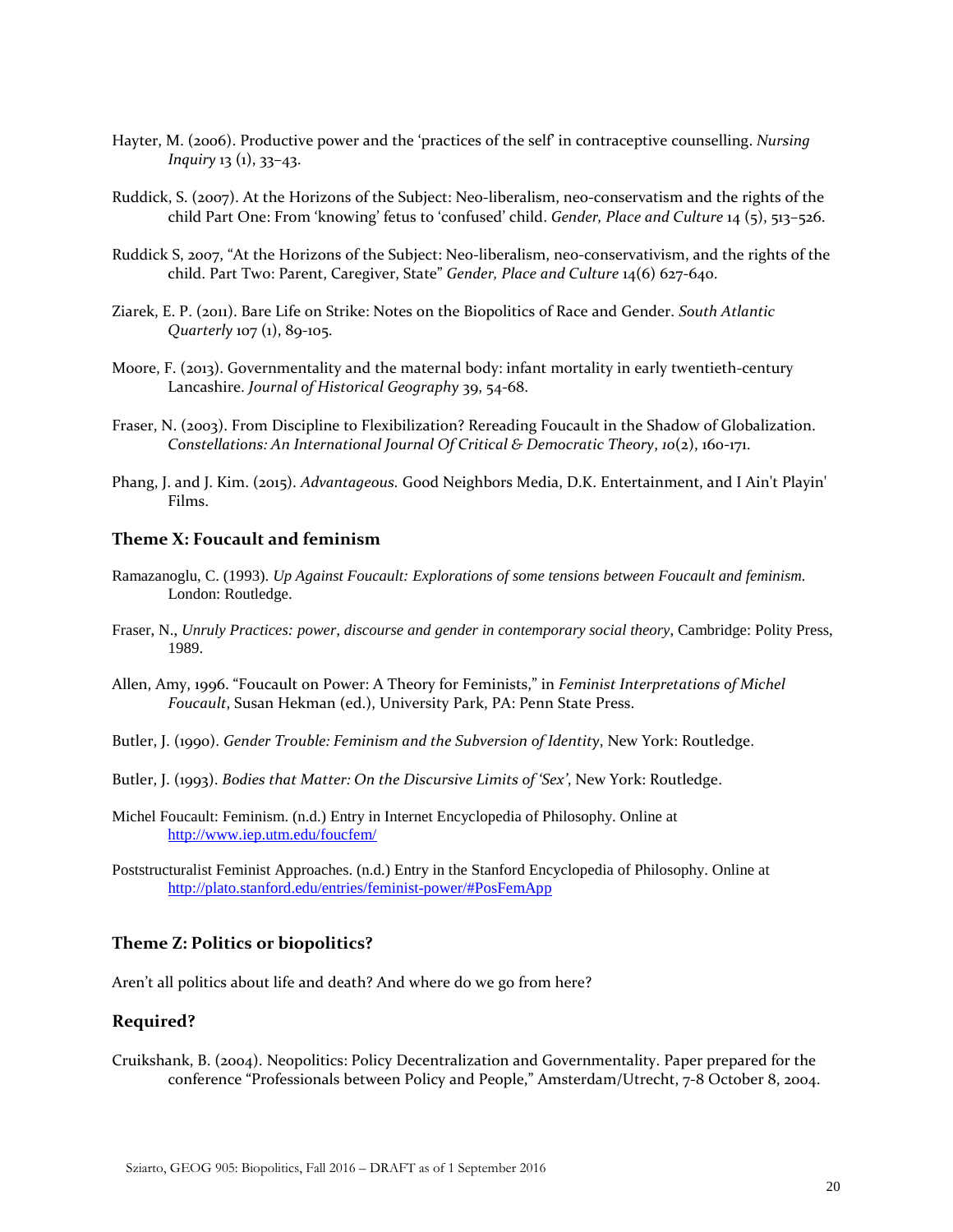- Hayter, M. (2006). Productive power and the 'practices of the self' in contraceptive counselling. *Nursing Inquiry* 13 (1), 33–43.
- Ruddick, S. (2007). At the Horizons of the Subject: Neo-liberalism, neo-conservatism and the rights of the child Part One: From 'knowing' fetus to 'confused' child. *Gender, Place and Culture* 14 (5), 513–526.
- Ruddick S, 2007, "At the Horizons of the Subject: Neo-liberalism, neo-conservativism, and the rights of the child. Part Two: Parent, Caregiver, State" *Gender, Place and Culture* 14(6) 627-640.
- Ziarek, E. P. (2011). Bare Life on Strike: Notes on the Biopolitics of Race and Gender. *South Atlantic Quarterly* 107 (1), 89-105.
- Moore, F. (2013). Governmentality and the maternal body: infant mortality in early twentieth-century Lancashire. *Journal of Historical Geography* 39, 54-68.
- Fraser, N. (2003). From Discipline to Flexibilization? Rereading Foucault in the Shadow of Globalization. *Constellations: An International Journal Of Critical & Democratic Theory*, *10*(2), 160-171.
- Phang, J. and J. Kim. (2015). *Advantageous.* Good Neighbors Media, D.K. Entertainment, and I Ain't Playin' Films.

### **Theme X: Foucault and feminism**

- Ramazanoglu, C. (1993). *Up Against Foucault: Explorations of some tensions between Foucault and feminism.* London: Routledge.
- Fraser, N., *Unruly Practices: power, discourse and gender in contemporary social theory*, Cambridge: Polity Press, 1989.
- Allen, Amy, 1996. "Foucault on Power: A Theory for Feminists," in *Feminist Interpretations of Michel Foucault*, Susan Hekman (ed.), University Park, PA: Penn State Press.
- Butler, J. (1990). *Gender Trouble: Feminism and the Subversion of Identity*, New York: Routledge.
- Butler, J. (1993). *Bodies that Matter: On the Discursive Limits of 'Sex'*, New York: Routledge.
- Michel Foucault: Feminism. (n.d.) Entry in Internet Encyclopedia of Philosophy. Online at <http://www.iep.utm.edu/foucfem/>
- Poststructuralist Feminist Approaches. (n.d.) Entry in the Stanford Encyclopedia of Philosophy. Online at <http://plato.stanford.edu/entries/feminist-power/#PosFemApp>

#### **Theme Z: Politics or biopolitics?**

Aren't all politics about life and death? And where do we go from here?

#### **Required?**

Cruikshank, B. (2004). Neopolitics: Policy Decentralization and Governmentality. Paper prepared for the conference "Professionals between Policy and People," Amsterdam/Utrecht, 7-8 October 8, 2004.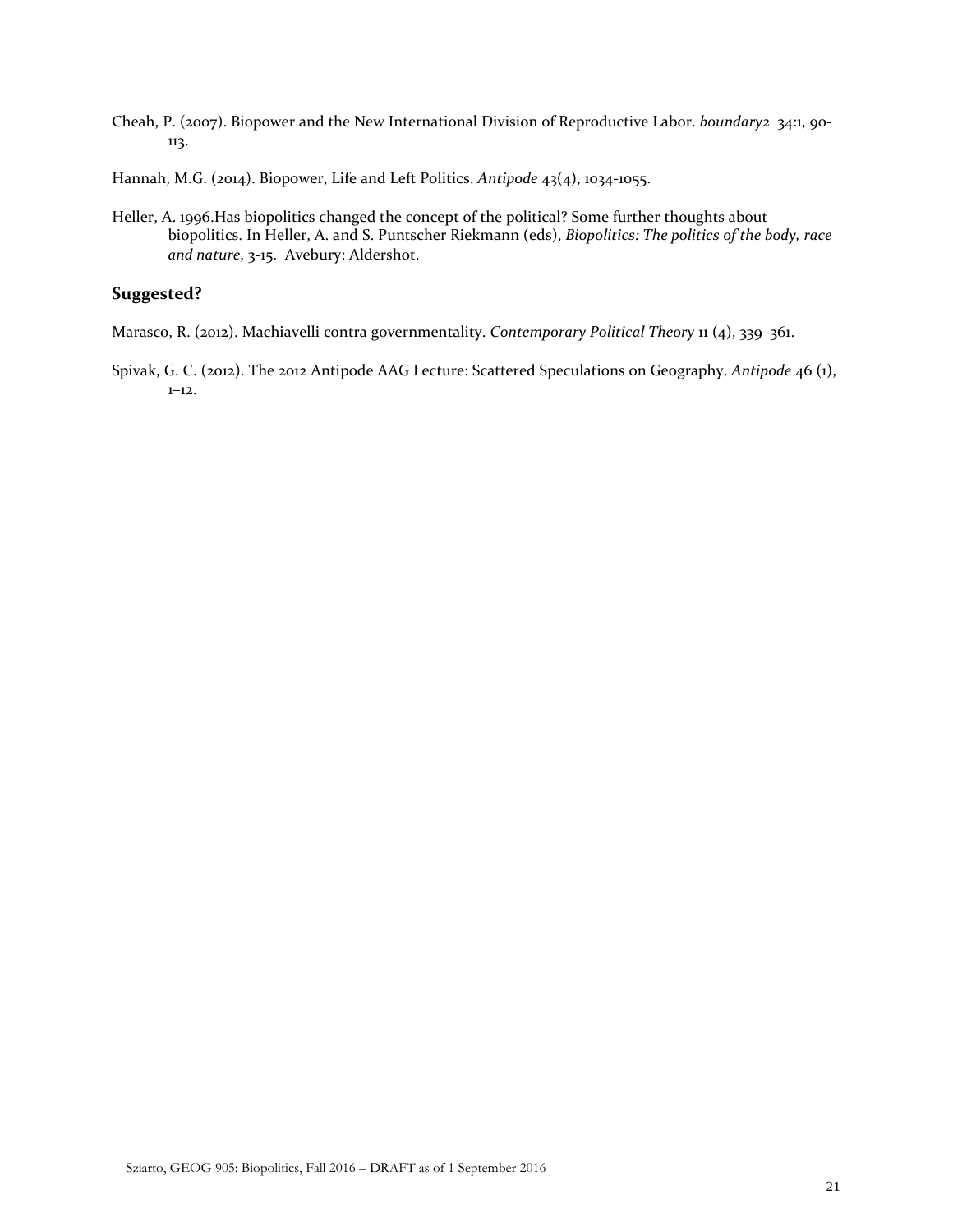- Cheah, P. (2007). Biopower and the New International Division of Reproductive Labor. *boundary2* 34:1, 90- 113.
- Hannah, M.G. (2014). Biopower, Life and Left Politics. *Antipode* 43(4), 1034-1055.
- Heller, A. 1996.Has biopolitics changed the concept of the political? Some further thoughts about biopolitics. In Heller, A. and S. Puntscher Riekmann (eds), *Biopolitics: The politics of the body, race and nature*, 3-15. Avebury: Aldershot.

# **Suggested?**

- Marasco, R. (2012). Machiavelli contra governmentality. *Contemporary Political Theory* 11 (4), 339–361.
- Spivak, G. C. (2012). The 2012 Antipode AAG Lecture: Scattered Speculations on Geography. *Antipode* 46 (1), 1–12.